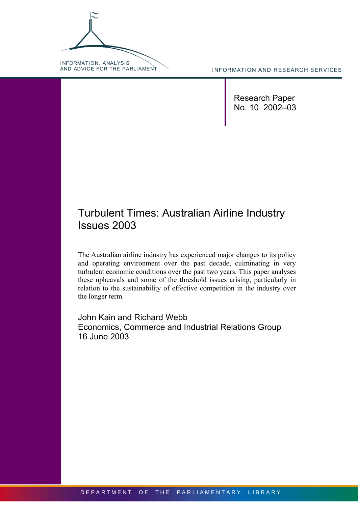INFORMATION, ANALYSIS<br>AND ADVICE FOR THE PARLIAMENT

INFORMATION AND RESEARCH SERVICES

Research Paper No. 10 2002–03

# Turbulent Times: Australian Airline Industry Issues 2003

The Australian airline industry has experienced major changes to its policy and operating environment over the past decade, culminating in very turbulent economic conditions over the past two years. This paper analyses these upheavals and some of the threshold issues arising, particularly in relation to the sustainability of effective competition in the industry over the longer term.

John Kain and Richard Webb Economics, Commerce and Industrial Relations Group 16 June 2003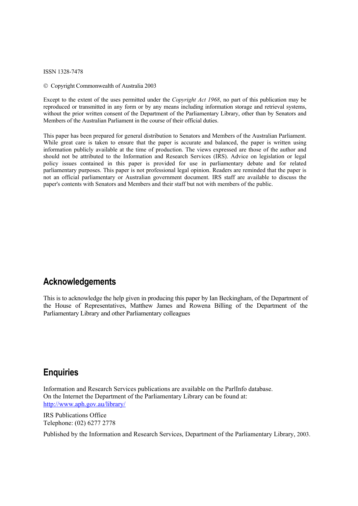ISSN 1328-7478

Copyright Commonwealth of Australia 2003

Except to the extent of the uses permitted under the *Copyright Act 1968*, no part of this publication may be reproduced or transmitted in any form or by any means including information storage and retrieval systems, without the prior written consent of the Department of the Parliamentary Library, other than by Senators and Members of the Australian Parliament in the course of their official duties.

This paper has been prepared for general distribution to Senators and Members of the Australian Parliament. While great care is taken to ensure that the paper is accurate and balanced, the paper is written using information publicly available at the time of production. The views expressed are those of the author and should not be attributed to the Information and Research Services (IRS). Advice on legislation or legal policy issues contained in this paper is provided for use in parliamentary debate and for related parliamentary purposes. This paper is not professional legal opinion. Readers are reminded that the paper is not an official parliamentary or Australian government document. IRS staff are available to discuss the paper's contents with Senators and Members and their staff but not with members of the public.

# **Acknowledgements**

This is to acknowledge the help given in producing this paper by Ian Beckingham, of the Department of the House of Representatives, Matthew James and Rowena Billing of the Department of the Parliamentary Library and other Parliamentary colleagues

# **Enquiries**

Information and Research Services publications are available on the ParlInfo database. On the Internet the Department of the Parliamentary Library can be found at: <http://www.aph.gov.au/library/>

IRS Publications Office Telephone: (02) 6277 2778

Published by the Information and Research Services, Department of the Parliamentary Library, 2003.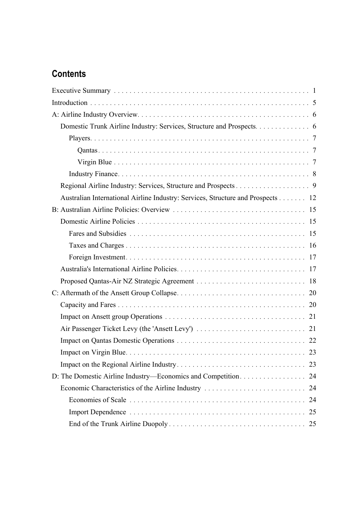# **Contents**

| Domestic Trunk Airline Industry: Services, Structure and Prospects. 6           |    |
|---------------------------------------------------------------------------------|----|
|                                                                                 |    |
|                                                                                 |    |
|                                                                                 |    |
|                                                                                 |    |
|                                                                                 |    |
| Australian International Airline Industry: Services, Structure and Prospects 12 |    |
|                                                                                 |    |
|                                                                                 |    |
|                                                                                 |    |
|                                                                                 |    |
|                                                                                 |    |
|                                                                                 |    |
|                                                                                 |    |
|                                                                                 |    |
|                                                                                 |    |
|                                                                                 |    |
|                                                                                 |    |
|                                                                                 |    |
|                                                                                 |    |
|                                                                                 |    |
|                                                                                 |    |
| Economic Characteristics of the Airline Industry                                | 24 |
|                                                                                 |    |
|                                                                                 |    |
|                                                                                 |    |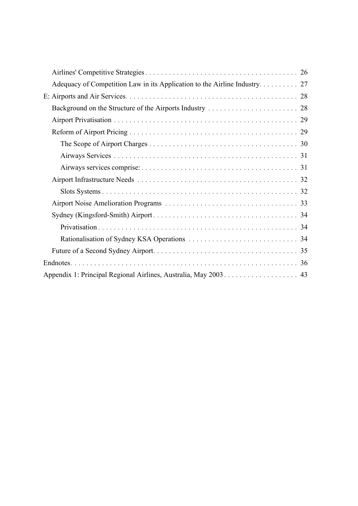| Appendix 1: Principal Regional Airlines, Australia, May 2003. 43 |
|------------------------------------------------------------------|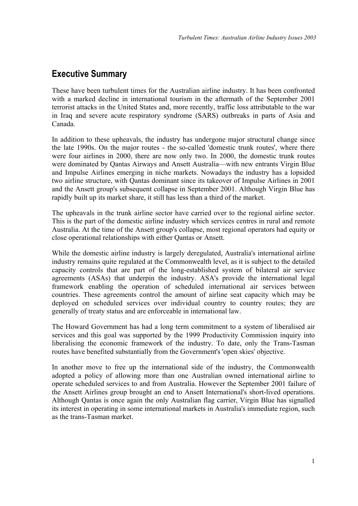# <span id="page-4-0"></span>**Executive Summary**

These have been turbulent times for the Australian airline industry. It has been confronted with a marked decline in international tourism in the aftermath of the September 2001 terrorist attacks in the United States and, more recently, traffic loss attributable to the war in Iraq and severe acute respiratory syndrome (SARS) outbreaks in parts of Asia and Canada.

In addition to these upheavals, the industry has undergone major structural change since the late 1990s. On the major routes - the so-called 'domestic trunk routes', where there were four airlines in 2000, there are now only two. In 2000, the domestic trunk routes were dominated by Qantas Airways and Ansett Australia—with new entrants Virgin Blue and Impulse Airlines emerging in niche markets. Nowadays the industry has a lopsided two airline structure, with Qantas dominant since its takeover of Impulse Airlines in 2001 and the Ansett group's subsequent collapse in September 2001. Although Virgin Blue has rapidly built up its market share, it still has less than a third of the market.

The upheavals in the trunk airline sector have carried over to the regional airline sector. This is the part of the domestic airline industry which services centres in rural and remote Australia. At the time of the Ansett group's collapse, most regional operators had equity or close operational relationships with either Qantas or Ansett.

While the domestic airline industry is largely deregulated, Australia's international airline industry remains quite regulated at the Commonwealth level, as it is subject to the detailed capacity controls that are part of the long-established system of bilateral air service agreements (ASAs) that underpin the industry. ASA's provide the international legal framework enabling the operation of scheduled international air services between countries. These agreements control the amount of airline seat capacity which may be deployed on scheduled services over individual country to country routes; they are generally of treaty status and are enforceable in international law.

The Howard Government has had a long term commitment to a system of liberalised air services and this goal was supported by the 1999 Productivity Commission inquiry into liberalising the economic framework of the industry. To date, only the Trans-Tasman routes have benefited substantially from the Government's 'open skies' objective.

In another move to free up the international side of the industry, the Commonwealth adopted a policy of allowing more than one Australian owned international airline to operate scheduled services to and from Australia. However the September 2001 failure of the Ansett Airlines group brought an end to Ansett International's short-lived operations. Although Qantas is once again the only Australian flag carrier, Virgin Blue has signalled its interest in operating in some international markets in Australia's immediate region, such as the trans-Tasman market.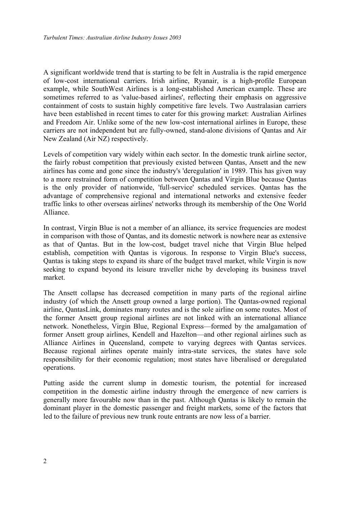A significant worldwide trend that is starting to be felt in Australia is the rapid emergence of low-cost international carriers. Irish airline, Ryanair, is a high-profile European example, while SouthWest Airlines is a long-established American example. These are sometimes referred to as 'value-based airlines', reflecting their emphasis on aggressive containment of costs to sustain highly competitive fare levels. Two Australasian carriers have been established in recent times to cater for this growing market: Australian Airlines and Freedom Air. Unlike some of the new low-cost international airlines in Europe, these carriers are not independent but are fully-owned, stand-alone divisions of Qantas and Air New Zealand (Air NZ) respectively.

Levels of competition vary widely within each sector. In the domestic trunk airline sector, the fairly robust competition that previously existed between Qantas, Ansett and the new airlines has come and gone since the industry's 'deregulation' in 1989. This has given way to a more restrained form of competition between Qantas and Virgin Blue because Qantas is the only provider of nationwide, 'full-service' scheduled services. Qantas has the advantage of comprehensive regional and international networks and extensive feeder traffic links to other overseas airlines' networks through its membership of the One World Alliance.

In contrast, Virgin Blue is not a member of an alliance, its service frequencies are modest in comparison with those of Qantas, and its domestic network is nowhere near as extensive as that of Qantas. But in the low-cost, budget travel niche that Virgin Blue helped establish, competition with Qantas is vigorous. In response to Virgin Blue's success, Qantas is taking steps to expand its share of the budget travel market, while Virgin is now seeking to expand beyond its leisure traveller niche by developing its business travel market.

The Ansett collapse has decreased competition in many parts of the regional airline industry (of which the Ansett group owned a large portion). The Qantas-owned regional airline, QantasLink, dominates many routes and is the sole airline on some routes. Most of the former Ansett group regional airlines are not linked with an international alliance network. Nonetheless, Virgin Blue, Regional Express—formed by the amalgamation of former Ansett group airlines, Kendell and Hazelton—and other regional airlines such as Alliance Airlines in Queensland, compete to varying degrees with Qantas services. Because regional airlines operate mainly intra-state services, the states have sole responsibility for their economic regulation; most states have liberalised or deregulated operations.

Putting aside the current slump in domestic tourism, the potential for increased competition in the domestic airline industry through the emergence of new carriers is generally more favourable now than in the past. Although Qantas is likely to remain the dominant player in the domestic passenger and freight markets, some of the factors that led to the failure of previous new trunk route entrants are now less of a barrier.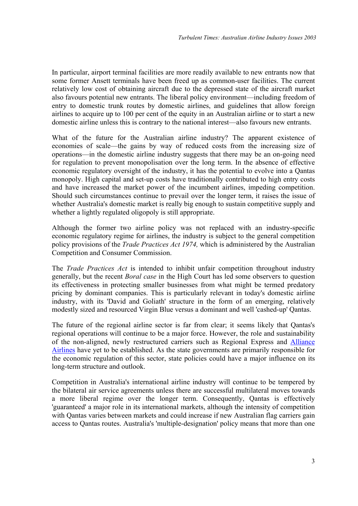In particular, airport terminal facilities are more readily available to new entrants now that some former Ansett terminals have been freed up as common-user facilities. The current relatively low cost of obtaining aircraft due to the depressed state of the aircraft market also favours potential new entrants. The liberal policy environment—including freedom of entry to domestic trunk routes by domestic airlines, and guidelines that allow foreign airlines to acquire up to 100 per cent of the equity in an Australian airline or to start a new domestic airline unless this is contrary to the national interest—also favours new entrants.

What of the future for the Australian airline industry? The apparent existence of economies of scale—the gains by way of reduced costs from the increasing size of operations—in the domestic airline industry suggests that there may be an on-going need for regulation to prevent monopolisation over the long term. In the absence of effective economic regulatory oversight of the industry, it has the potential to evolve into a Qantas monopoly. High capital and set-up costs have traditionally contributed to high entry costs and have increased the market power of the incumbent airlines, impeding competition. Should such circumstances continue to prevail over the longer term, it raises the issue of whether Australia's domestic market is really big enough to sustain competitive supply and whether a lightly regulated oligopoly is still appropriate.

Although the former two airline policy was not replaced with an industry-specific economic regulatory regime for airlines, the industry is subject to the general competition policy provisions of the *Trade Practices Act 1974,* which is administered by the Australian Competition and Consumer Commission.

The *Trade Practices Act* is intended to inhibit unfair competition throughout industry generally, but the recent *Boral case* in the High Court has led some observers to question its effectiveness in protecting smaller businesses from what might be termed predatory pricing by dominant companies. This is particularly relevant in today's domestic airline industry, with its 'David and Goliath' structure in the form of an emerging, relatively modestly sized and resourced Virgin Blue versus a dominant and well 'cashed-up' Qantas.

The future of the regional airline sector is far from clear; it seems likely that Qantas's regional operations will continue to be a major force. However, the role and sustainability of the non-aligned, newly restructured carriers such as Regional Express and [Alliance](http://www.allianceairlines.com.au/)  [Airlines](http://www.allianceairlines.com.au/) have yet to be established. As the state governments are primarily responsible for the economic regulation of this sector, state policies could have a major influence on its long-term structure and outlook.

Competition in Australia's international airline industry will continue to be tempered by the bilateral air service agreements unless there are successful multilateral moves towards a more liberal regime over the longer term. Consequently, Qantas is effectively 'guaranteed' a major role in its international markets, although the intensity of competition with Qantas varies between markets and could increase if new Australian flag carriers gain access to Qantas routes. Australia's 'multiple-designation' policy means that more than one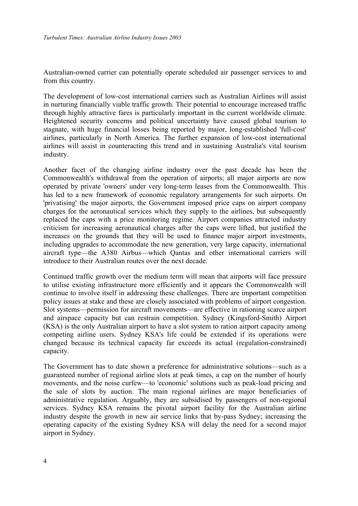Australian-owned carrier can potentially operate scheduled air passenger services to and from this country.

The development of low-cost international carriers such as Australian Airlines will assist in nurturing financially viable traffic growth. Their potential to encourage increased traffic through highly attractive fares is particularly important in the current worldwide climate. Heightened security concerns and political uncertainty have caused global tourism to stagnate, with huge financial losses being reported by major, long-established 'full-cost' airlines, particularly in North America. The further expansion of low-cost international airlines will assist in counteracting this trend and in sustaining Australia's vital tourism industry.

Another facet of the changing airline industry over the past decade has been the Commonwealth's withdrawal from the operation of airports; all major airports are now operated by private 'owners' under very long-term leases from the Commonwealth. This has led to a new framework of economic regulatory arrangements for such airports. On 'privatising' the major airports, the Government imposed price caps on airport company charges for the aeronautical services which they supply to the airlines, but subsequently replaced the caps with a price monitoring regime. Airport companies attracted industry criticism for increasing aeronautical charges after the caps were lifted, but justified the increases on the grounds that they will be used to finance major airport investments, including upgrades to accommodate the new generation, very large capacity, international aircraft type—the A380 Airbus—which Qantas and other international carriers will introduce to their Australian routes over the next decade.

Continued traffic growth over the medium term will mean that airports will face pressure to utilise existing infrastructure more efficiently and it appears the Commonwealth will continue to involve itself in addressing these challenges. There are important competition policy issues at stake and these are closely associated with problems of airport congestion. Slot systems—permission for aircraft movements—are effective in rationing scarce airport and airspace capacity but can restrain competition. Sydney (Kingsford-Smith) Airport (KSA) is the only Australian airport to have a slot system to ration airport capacity among competing airline users. Sydney KSA's life could be extended if its operations were changed because its technical capacity far exceeds its actual (regulation-constrained) capacity.

The Government has to date shown a preference for administrative solutions—such as a guaranteed number of regional airline slots at peak times, a cap on the number of hourly movements, and the noise curfew—to 'economic' solutions such as peak-load pricing and the sale of slots by auction. The main regional airlines are major beneficiaries of administrative regulation. Arguably, they are subsidised by passengers of non-regional services. Sydney KSA remains the pivotal airport facility for the Australian airline industry despite the growth in new air service links that by-pass Sydney; increasing the operating capacity of the existing Sydney KSA will delay the need for a second major airport in Sydney.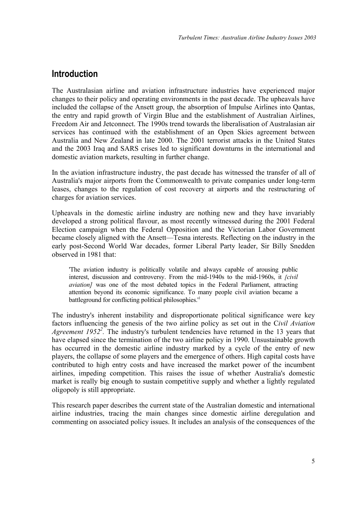# <span id="page-8-0"></span>**Introduction**

The Australasian airline and aviation infrastructure industries have experienced major changes to their policy and operating environments in the past decade. The upheavals have included the collapse of the Ansett group, the absorption of Impulse Airlines into Qantas, the entry and rapid growth of Virgin Blue and the establishment of Australian Airlines, Freedom Air and Jetconnect. The 1990s trend towards the liberalisation of Australasian air services has continued with the establishment of an Open Skies agreement between Australia and New Zealand in late 2000. The 2001 terrorist attacks in the United States and the 2003 Iraq and SARS crises led to significant downturns in the international and domestic aviation markets, resulting in further change.

In the aviation infrastructure industry, the past decade has witnessed the transfer of all of Australia's major airports from the Commonwealth to private companies under long-term leases, changes to the regulation of cost recovery at airports and the restructuring of charges for aviation services.

Upheavals in the domestic airline industry are nothing new and they have invariably developed a strong political flavour, as most recently witnessed during the 2001 Federal Election campaign when the Federal Opposition and the Victorian Labor Government became closely aligned with the Ansett—Tesna interests. Reflecting on the industry in the early post-Second World War decades, former Liberal Party leader, Sir Billy Snedden observed in 1981 that:

'The aviation industry is politically volatile and always capable of arousing public interest, discussion and controversy. From the mid-1940s to the mid-1960s, it *[civil aviation]* was one of the most debated topics in the Federal Parliament, attracting attention beyond its economic significance. To many people civil aviation became a battleground for conflicting political philosophies.<sup>[1](#page-9-1)</sup>

The industry's inherent instability and disproportionate political significance were key factors influencing the genesis of the two airline policy as set out in the C*ivil Aviation* Agreement 195[2](#page-9-2)<sup>2</sup>. The industry's turbulent tendencies have returned in the 13 years that have elapsed since the termination of the two airline policy in 1990. Unsustainable growth has occurred in the domestic airline industry marked by a cycle of the entry of new players, the collapse of some players and the emergence of others. High capital costs have contributed to high entry costs and have increased the market power of the incumbent airlines, impeding competition. This raises the issue of whether Australia's domestic market is really big enough to sustain competitive supply and whether a lightly regulated oligopoly is still appropriate.

This research paper describes the current state of the Australian domestic and international airline industries, tracing the main changes since domestic airline deregulation and commenting on associated policy issues. It includes an analysis of the consequences of the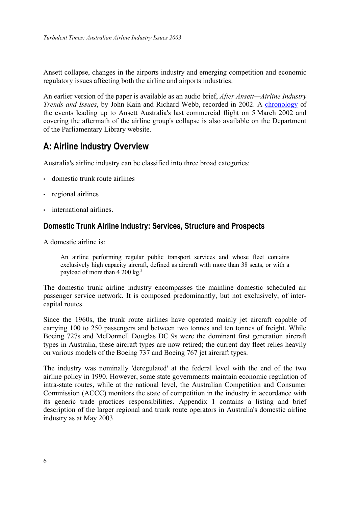<span id="page-9-0"></span>Ansett collapse, changes in the airports industry and emerging competition and economic regulatory issues affecting both the airline and airports industries.

An earlier version of the paper is available as an audio brief, *After Ansett—Airline Industry Trends and Issues*, by John Kain and Richard Webb, recorded in 2002. A [chronology](http://www.aph.gov.au/library/pubs/online/ansettchron.htm) of the events leading up to Ansett Australia's last commercial flight on 5 March 2002 and covering the aftermath of the airline group's collapse is also available on the Department of the Parliamentary Library website.

# **A: Airline Industry Overview**

Australia's airline industry can be classified into three broad categories:

- domestic trunk route airlines
- regional airlines
- international airlines.

## **Domestic Trunk Airline Industry: Services, Structure and Prospects**

A domestic airline is:

An airline performing regular public transport services and whose fleet contains exclusively high capacity aircraft, defined as aircraft with more than 38 seats, or with a payload of more than 4 200 kg.<sup>[3](#page-10-1)</sup>

<span id="page-9-1"></span>The domestic trunk airline industry encompasses the mainline domestic scheduled air passenger service network. It is composed predominantly, but not exclusively, of intercapital routes.

<span id="page-9-2"></span>Since the 1960s, the trunk route airlines have operated mainly jet aircraft capable of carrying 100 to 250 passengers and between two tonnes and ten tonnes of freight. While Boeing 727s and McDonnell Douglas DC 9s were the dominant first generation aircraft types in Australia, these aircraft types are now retired; the current day fleet relies heavily on various models of the Boeing 737 and Boeing 767 jet aircraft types.

The industry was nominally 'deregulated' at the federal level with the end of the two airline policy in 1990. However, some state governments maintain economic regulation of intra-state routes, while at the national level, the Australian Competition and Consumer Commission (ACCC) monitors the state of competition in the industry in accordance with its generic trade practices responsibilities. Appendix 1 contains a listing and brief description of the larger regional and trunk route operators in Australia's domestic airline industry as at May 2003.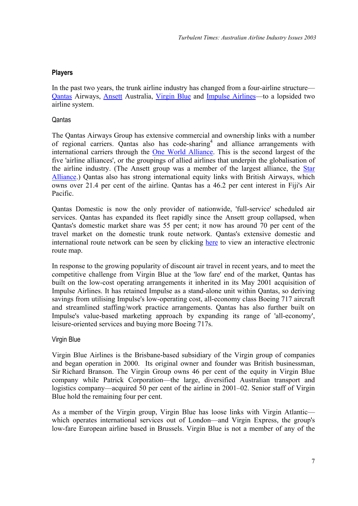### <span id="page-10-0"></span>**Players**

In the past two years, the trunk airline industry has changed from a four-airline structure— [Qantas](http://www.qantas.com.au/regions/dyn/home/qualifier-region-au) Airways, [Ansett](http://www.ansett.com.au/body_home.htm) Australia, [Virgin Blue](http://www.virginblue.com.au/aboutus.html) and [Impulse Airlines—](http://users.chariot.net.au/~theburfs/impulsepage.html)to a lopsided two airline system.

### **Qantas**

The Qantas Airways Group has extensive commercial and ownership links with a number of regional carriers. Qantas also has code-sharing<sup>4</sup> and alliance arrangements with international carriers through the [One World Alliance](http://www.oneworldalliance.com/). This is the second largest of the five 'airline alliances', or the groupings of allied airlines that underpin the globalisation of the airline industry. (The Ansett group was a member of the largest alliance, the [Star](http://www.star-alliance.com/cgi-bin/sa.storefront/)  [Alliance.](http://www.star-alliance.com/cgi-bin/sa.storefront/)) Qantas also has strong international equity links with British Airways, which owns over 21.4 per cent of the airline. Qantas has a 46.2 per cent interest in Fiji's Air Pacific.

Qantas Domestic is now the only provider of nationwide, 'full-service' scheduled air services. Qantas has expanded its fleet rapidly since the Ansett group collapsed, when Qantas's domestic market share was 55 per cent; it now has around 70 per cent of the travel market on the domestic trunk route network. Qantas's extensive domestic and international route network can be seen by clicking [here](http://www.qantas.com.au/content/dyn/routemaps/rm_au_flash) to view an interactive electronic route map.

In response to the growing popularity of discount air travel in recent years, and to meet the competitive challenge from Virgin Blue at the 'low fare' end of the market, Qantas has built on the low-cost operating arrangements it inherited in its May 2001 acquisition of Impulse Airlines. It has retained Impulse as a stand-alone unit within Qantas, so deriving savings from utilising Impulse's low-operating cost, all-economy class Boeing 717 aircraft and streamlined staffing/work practice arrangements. Qantas has also further built on Impulse's value-based marketing approach by expanding its range of 'all-economy', leisure-oriented services and buying more Boeing 717s.

### <span id="page-10-1"></span>Virgin Blue

Virgin Blue Airlines is the Brisbane-based subsidiary of the Virgin group of companies and began operation in 2000. Its original owner and founder was British businessman, Sir Richard Branson. The Virgin Group owns 46 per cent of the equity in Virgin Blue company while Patrick Corporation—the large, diversified Australian transport and logistics company—acquired 50 per cent of the airline in 2001–02. Senior staff of Virgin Blue hold the remaining four per cent.

As a member of the Virgin group, Virgin Blue has loose links with Virgin Atlantic which operates international services out of London—and Virgin Express, the group's low-fare European airline based in Brussels. Virgin Blue is not a member of any of the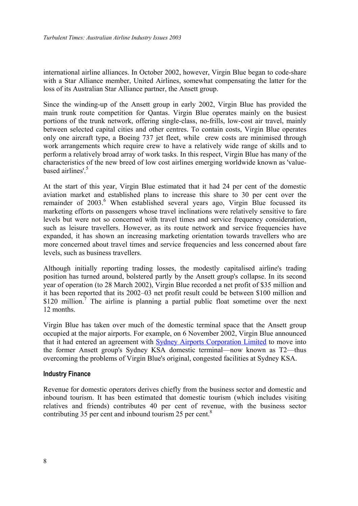<span id="page-11-0"></span>international airline alliances. In October 2002, however, Virgin Blue began to code-share with a Star Alliance member, United Airlines, somewhat compensating the latter for the loss of its Australian Star Alliance partner, the Ansett group.

Since the winding-up of the Ansett group in early 2002, Virgin Blue has provided the main trunk route competition for Qantas. Virgin Blue operates mainly on the busiest portions of the trunk network, offering single-class, no-frills, low-cost air travel, mainly between selected capital cities and other centres. To contain costs, Virgin Blue operates only one aircraft type, a Boeing 737 jet fleet, while crew costs are minimised through work arrangements which require crew to have a relatively wide range of skills and to perform a relatively broad array of work tasks. In this respect, Virgin Blue has many of the characteristics of the new breed of low cost airlines emerging worldwide known as 'value-based airlines'.<sup>[5](#page-12-1)</sup>

At the start of this year, Virgin Blue estimated that it had 24 per cent of the domestic aviation market and established plans to increase this share to 30 per cent over the remainder of 2003.<sup>[6](#page-12-2)</sup> When established several years ago, Virgin Blue focussed its marketing efforts on passengers whose travel inclinations were relatively sensitive to fare levels but were not so concerned with travel times and service frequency consideration, such as leisure travellers. However, as its route network and service frequencies have expanded, it has shown an increasing marketing orientation towards travellers who are more concerned about travel times and service frequencies and less concerned about fare levels, such as business travellers.

Although initially reporting trading losses, the modestly capitalised airline's trading position has turned around, bolstered partly by the Ansett group's collapse. In its second year of operation (to 28 March 2002), Virgin Blue recorded a net profit of \$35 million and it has been reported that its 2002–03 net profit result could be between \$100 million and \$120 million.<sup>[7](#page-12-3)</sup> The airline is planning a partial public float sometime over the next 12 months.

<span id="page-11-1"></span>Virgin Blue has taken over much of the domestic terminal space that the Ansett group occupied at the major airports. For example, on 6 November 2002, Virgin Blue announced that it had entered an agreement with [Sydney Airports Corporation Limited](http://www.sydneyairport.com.au/sydney+airport/home.htm) to move into the former Ansett group's Sydney KSA domestic terminal—now known as T2—thus overcoming the problems of Virgin Blue's original, congested facilities at Sydney KSA.

### **Industry Finance**

Revenue for domestic operators derives chiefly from the business sector and domestic and inbound tourism. It has been estimated that domestic tourism (which includes visiting relatives and friends) contributes 40 per cent of revenue, with the business sector contributing 35 per cent and inbound tourism 25 per cent.<sup>[8](#page-12-4)</sup>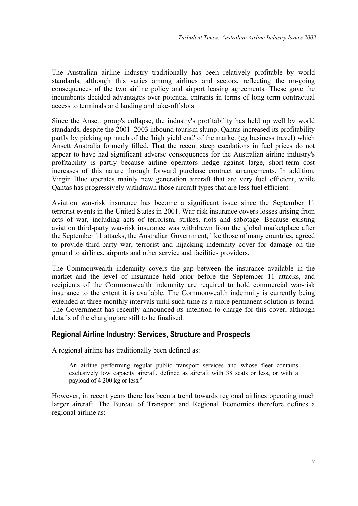<span id="page-12-2"></span><span id="page-12-0"></span>The Australian airline industry traditionally has been relatively profitable by world standards, although this varies among airlines and sectors, reflecting the on-going consequences of the two airline policy and airport leasing agreements. These gave the incumbents decided advantages over potential entrants in terms of long term contractual access to terminals and landing and take-off slots.

<span id="page-12-4"></span><span id="page-12-3"></span>Since the Ansett group's collapse, the industry's profitability has held up well by world standards, despite the 2001–2003 inbound tourism slump. Qantas increased its profitability partly by picking up much of the 'high yield end' of the market (eg business travel) which Ansett Australia formerly filled. That the recent steep escalations in fuel prices do not appear to have had significant adverse consequences for the Australian airline industry's profitability is partly because airline operators hedge against large, short-term cost increases of this nature through forward purchase contract arrangements. In addition, Virgin Blue operates mainly new generation aircraft that are very fuel efficient, while Qantas has progressively withdrawn those aircraft types that are less fuel efficient.

Aviation war-risk insurance has become a significant issue since the September 11 terrorist events in the United States in 2001. War-risk insurance covers losses arising from acts of war, including acts of terrorism, strikes, riots and sabotage. Because existing aviation third-party war-risk insurance was withdrawn from the global marketplace after the September 11 attacks, the Australian Government, like those of many countries, agreed to provide third-party war, terrorist and hijacking indemnity cover for damage on the ground to airlines, airports and other service and facilities providers.

The Commonwealth indemnity covers the gap between the insurance available in the market and the level of insurance held prior before the September 11 attacks, and recipients of the Commonwealth indemnity are required to hold commercial war-risk insurance to the extent it is available. The Commonwealth indemnity is currently being extended at three monthly intervals until such time as a more permanent solution is found. The Government has recently announced its intention to charge for this cover, although details of the charging are still to be finalised.

## **Regional Airline Industry: Services, Structure and Prospects**

A regional airline has traditionally been defined as:

An airline performing regular public transport services and whose fleet contains exclusively low capacity aircraft, defined as aircraft with 38 seats or less, or with a payload of 4 200 kg or less. [9](#page-13-0)

<span id="page-12-1"></span>However, in recent years there has been a trend towards regional airlines operating much larger aircraft. The Bureau of Transport and Regional Economics therefore defines a regional airline as: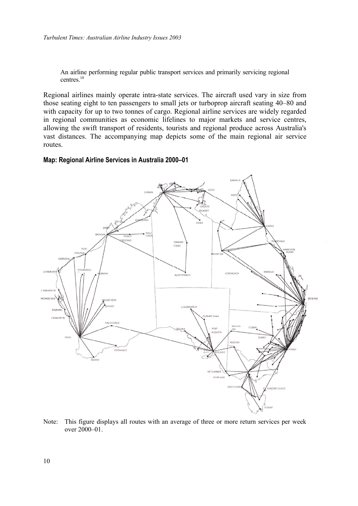An airline performing regular public transport services and primarily servicing regional centres. [10](#page-14-0)

Regional airlines mainly operate intra-state services. The aircraft used vary in size from those seating eight to ten passengers to small jets or turboprop aircraft seating 40–80 and with capacity for up to two tonnes of cargo. Regional airline services are widely regarded in regional communities as economic lifelines to major markets and service centres, allowing the swift transport of residents, tourists and regional produce across Australia's vast distances. The accompanying map depicts some of the main regional air service routes.

#### <span id="page-13-0"></span>**Map: Regional Airline Services in Australia 2000–01**



Note: This figure displays all routes with an average of three or more return services per week over 2000–01.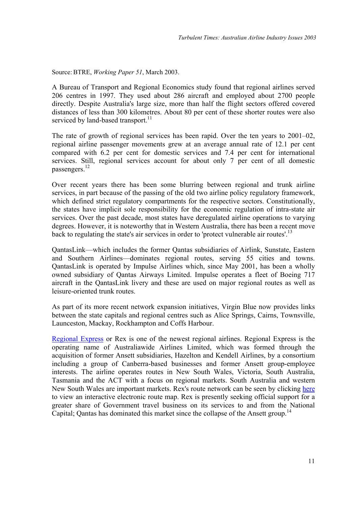Source: BTRE, *Working Paper 51*, March 2003.

A Bureau of Transport and Regional Economics study found that regional airlines served 206 centres in 1997. They used about 286 aircraft and employed about 2700 people directly. Despite Australia's large size, more than half the flight sectors offered covered distances of less than 300 kilometres. About 80 per cent of these shorter routes were also serviced by land-based transport.<sup>[11](#page-15-1)</sup>

<span id="page-14-0"></span>The rate of growth of regional services has been rapid. Over the ten years to 2001–02, regional airline passenger movements grew at an average annual rate of 12.1 per cent compared with 6.2 per cent for domestic services and 7.4 per cent for international services. Still, regional services account for about only 7 per cent of all domestic passengers.<sup>[12](#page-15-2)</sup>

Over recent years there has been some blurring between regional and trunk airline services, in part because of the passing of the old two airline policy regulatory framework, which defined strict regulatory compartments for the respective sectors. Constitutionally, the states have implicit sole responsibility for the economic regulation of intra-state air services. Over the past decade, most states have deregulated airline operations to varying degrees. However, it is noteworthy that in Western Australia, there has been a recent move back to regulating the state's air services in order to 'protect vulnerable air routes'.<sup>[13](#page-15-3)</sup>

QantasLink—which includes the former Qantas subsidiaries of Airlink, Sunstate, Eastern and Southern Airlines—dominates regional routes, serving 55 cities and towns. QantasLink is operated by Impulse Airlines which, since May 2001, has been a wholly owned subsidiary of Qantas Airways Limited. Impulse operates a fleet of Boeing 717 aircraft in the QantasLink livery and these are used on major regional routes as well as leisure-oriented trunk routes.

As part of its more recent network expansion initiatives, Virgin Blue now provides links between the state capitals and regional centres such as Alice Springs, Cairns, Townsville, Launceston, Mackay, Rockhampton and Coffs Harbour.

[Regional Express](http://www.regionalexpress.com.au/home.aspx) or Rex is one of the newest regional airlines. Regional Express is the operating name of Australiawide Airlines Limited, which was formed through the acquisition of former Ansett subsidiaries, Hazelton and Kendell Airlines, by a consortium including a group of Canberra-based businesses and former Ansett group-employee interests. The airline operates routes in New South Wales, Victoria, South Australia, Tasmania and the ACT with a focus on regional markets. South Australia and western New South Wales are important markets. Rex's route network can be seen by clicking [here](http://www.rex.com.au/imap/mapflash.aspx) to view an interactive electronic route map. Rex is presently seeking official support for a greater share of Government travel business on its services to and from the National Capital; Oantas has dominated this market since the collapse of the Ansett group.<sup>14</sup>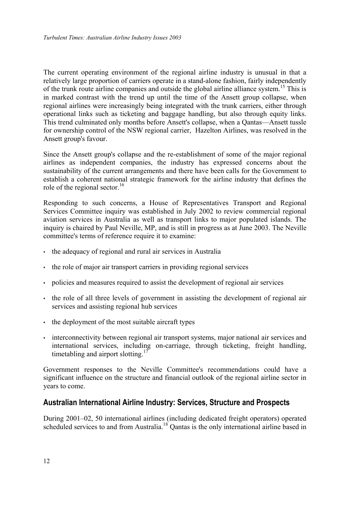<span id="page-15-0"></span>The current operating environment of the regional airline industry is unusual in that a relatively large proportion of carriers operate in a stand-alone fashion, fairly independently of the trunk route airline companies and outside the global airline alliance system. [15 T](#page-16-0)his is in marked contrast with the trend up until the time of the Ansett group collapse, when regional airlines were increasingly being integrated with the trunk carriers, either through operational links such as ticketing and baggage handling, but also through equity links. This trend culminated only months before Ansett's collapse, when a Qantas—Ansett tussle for ownership control of the NSW regional carrier, Hazelton Airlines, was resolved in the Ansett group's favour.

<span id="page-15-2"></span><span id="page-15-1"></span>Since the Ansett group's collapse and the re-establishment of some of the major regional airlines as independent companies, the industry has expressed concerns about the sustainability of the current arrangements and there have been calls for the Government to establish a coherent national strategic framework for the airline industry that defines the role of the regional sector.<sup>16</sup>

<span id="page-15-4"></span><span id="page-15-3"></span>Responding to such concerns, a House of Representatives Transport and Regional Services Committee inquiry was established in July 2002 to review commercial regional aviation services in Australia as well as transport links to major populated islands. The inquiry is chaired by Paul Neville, MP, and is still in progress as at June 2003. The Neville committee's terms of reference require it to examine:

- the adequacy of regional and rural air services in Australia
- the role of major air transport carriers in providing regional services
- policies and measures required to assist the development of regional air services
- the role of all three levels of government in assisting the development of regional air services and assisting regional hub services
- the deployment of the most suitable aircraft types
- interconnectivity between regional air transport systems, major national air services and international services, including on-carriage, through ticketing, freight handling, timetabling and airport slotting.<sup>[17](#page-16-2)</sup>

Government responses to the Neville Committee's recommendations could have a significant influence on the structure and financial outlook of the regional airline sector in years to come.

### **Australian International Airline Industry: Services, Structure and Prospects**

During 2001–02, 50 international airlines (including dedicated freight operators) operated scheduled services to and from Australia.<sup>18</sup> Qantas is the only international airline based in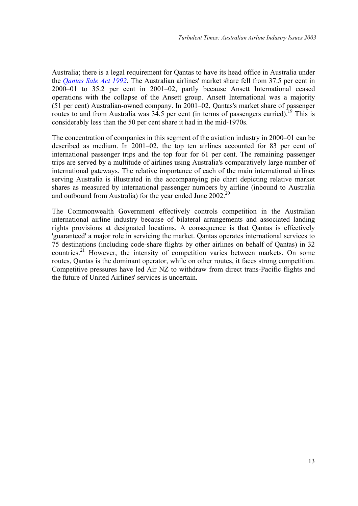Australia; there is a legal requirement for Qantas to have its head office in Australia under the *[Qantas Sale Act 1992](http://scaleplus.law.gov.au/html/pasteact/0/488/0/PA000130.htm)*. The Australian airlines' market share fell from 37.5 per cent in 2000–01 to 35.2 per cent in 2001–02, partly because Ansett International ceased operations with the collapse of the Ansett group. Ansett International was a majority (51 per cent) Australian-owned company. In 2001–02, Qantas's market share of passenger routes to and from Australia was  $34.5$  per cent (in terms of passengers carried).<sup>19</sup> This is considerably less than the 50 per cent share it had in the mid-1970s.

The concentration of companies in this segment of the aviation industry in 2000–01 can be described as medium. In 2001–02, the top ten airlines accounted for 83 per cent of international passenger trips and the top four for 61 per cent. The remaining passenger trips are served by a multitude of airlines using Australia's comparatively large number of international gateways. The relative importance of each of the main international airlines serving Australia is illustrated in the accompanying pie chart depicting relative market shares as measured by international passenger numbers by airline (inbound to Australia and outbound from Australia) for the year ended June 2002[.20](#page-17-0)

<span id="page-16-4"></span><span id="page-16-3"></span><span id="page-16-2"></span><span id="page-16-1"></span><span id="page-16-0"></span>The Commonwealth Government effectively controls competition in the Australian international airline industry because of bilateral arrangements and associated landing rights provisions at designated locations. A consequence is that Qantas is effectively 'guaranteed' a major role in servicing the market. Qantas operates international services to 75 destinations (including code-share flights by other airlines on behalf of Qantas) in 32 countries[.21](#page-17-1) However, the intensity of competition varies between markets. On some routes, Qantas is the dominant operator, while on other routes, it faces strong competition. Competitive pressures have led Air NZ to withdraw from direct trans-Pacific flights and the future of United Airlines' services is uncertain.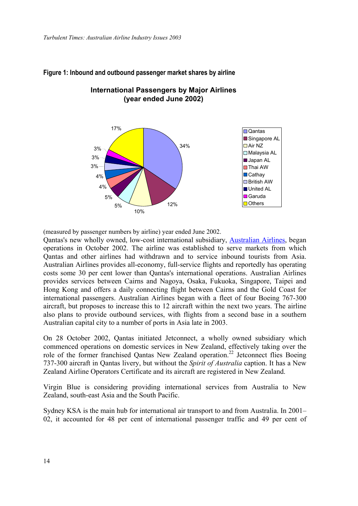

# **Figure 1: Inbound and outbound passenger market shares by airline**

**International Passengers by Major Airlines (year ended June 2002)**

(measured by passenger numbers by airline) year ended June 2002.

Qantas's new wholly owned, low-cost international subsidiary, [Australian Airlines,](http://www.australianairlines.com.au/) began operations in October 2002. The airline was established to serve markets from which Qantas and other airlines had withdrawn and to service inbound tourists from Asia. Australian Airlines provides all-economy, full-service flights and reportedly has operating costs some 30 per cent lower than Qantas's international operations. Australian Airlines provides services between Cairns and Nagoya, Osaka, Fukuoka, Singapore, Taipei and Hong Kong and offers a daily connecting flight between Cairns and the Gold Coast for international passengers. Australian Airlines began with a fleet of four Boeing 767-300 aircraft, but proposes to increase this to 12 aircraft within the next two years. The airline also plans to provide outbound services, with flights from a second base in a southern Australian capital city to a number of ports in Asia late in 2003.

<span id="page-17-1"></span><span id="page-17-0"></span>On 28 October 2002, Qantas initiated Jetconnect, a wholly owned subsidiary which commenced operations on domestic services in New Zealand, effectively taking over the role of the former franchised Qantas New Zealand operation.<sup>22</sup> Jetconnect flies Boeing 737-300 aircraft in Qantas livery, but without the *Spirit of Australia* caption. It has a New Zealand Airline Operators Certificate and its aircraft are registered in New Zealand.

Virgin Blue is considering providing international services from Australia to New Zealand, south-east Asia and the South Pacific.

Sydney KSA is the main hub for international air transport to and from Australia. In 2001– 02, it accounted for 48 per cent of international passenger traffic and 49 per cent of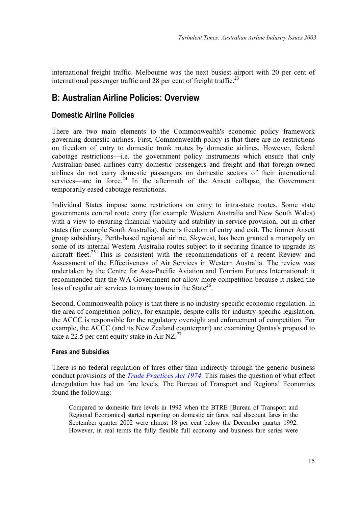<span id="page-18-0"></span>international freight traffic. Melbourne was the next busiest airport with 20 per cent of international passenger traffic and 28 per cent of freight traffic.<sup>23</sup>

# **B: Australian Airline Policies: Overview**

## **Domestic Airline Policies**

There are two main elements to the Commonwealth's economic policy framework governing domestic airlines. First, Commonwealth policy is that there are no restrictions on freedom of entry to domestic trunk routes by domestic airlines. However, federal cabotage restrictions—i.e. the government policy instruments which ensure that only Australian-based airlines carry domestic passengers and freight and that foreign-owned airlines do not carry domestic passengers on domestic sectors of their international services—are in force.<sup>24</sup> In the aftermath of the Ansett collapse, the Government temporarily eased cabotage restrictions.

Individual States impose some restrictions on entry to intra-state routes. Some state governments control route entry (for example Western Australia and New South Wales) with a view to ensuring financial viability and stability in service provision, but in other states (for example South Australia), there is freedom of entry and exit. The former Ansett group subsidiary, Perth-based regional airline, Skywest, has been granted a monopoly on some of its internal Western Australia routes subject to it securing finance to upgrade its aircraft fleet.<sup>25</sup> This is consistent with the recommendations of a recent Review and Assessment of the Effectiveness of Air Services in Western Australia. The review was undertaken by the Centre for Asia-Pacific Aviation and Tourism Futures International; it recommended that the WA Government not allow more competition because it risked the loss of regular air services to many towns in the State<sup>26</sup>.

Second, Commonwealth policy is that there is no industry-specific economic regulation. In the area of competition policy, for example, despite calls for industry-specific legislation, the ACCC is responsible for the regulatory oversight and enforcement of competition. For example, the ACCC (and its New Zealand counterpart) are examining Qantas's proposal to take a 22.5 per cent equity stake in Air NZ.<sup>27</sup>

### <span id="page-18-1"></span>**Fares and Subsidies**

There is no federal regulation of fares other than indirectly through the generic business conduct provisions of the *[Trade Practices Act 1974](http://scaleplus.law.gov.au/html/pasteact/0/115/top.htm)*. This raises the question of what effect deregulation has had on fare levels. The Bureau of Transport and Regional Economics found the following:

<span id="page-18-2"></span>Compared to domestic fare levels in 1992 when the BTRE [Bureau of Transport and Regional Economics] started reporting on domestic air fares, real discount fares in the September quarter 2002 were almost 18 per cent below the December quarter 1992. However, in real terms the fully flexible full economy and business fare series were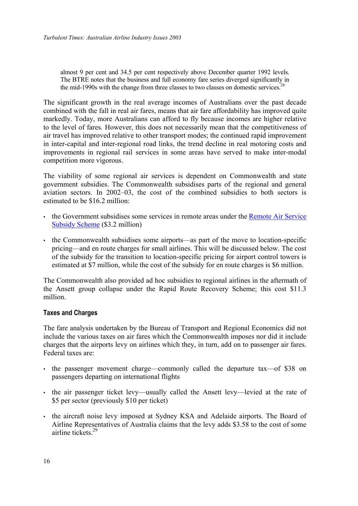<span id="page-19-0"></span>almost 9 per cent and 34.5 per cent respectively above December quarter 1992 levels. The BTRE notes that the business and full economy fare series diverged significantly in the mid-1990s with the change from three classes to two classes on domestic services.<sup>[28](#page-19-5)</sup>

<span id="page-19-3"></span><span id="page-19-2"></span>The significant growth in the real average incomes of Australians over the past decade combined with the fall in real air fares, means that air fare affordability has improved quite markedly. Today, more Australians can afford to fly because incomes are higher relative to the level of fares. However, this does not necessarily mean that the competitiveness of air travel has improved relative to other transport modes; the continued rapid improvement in inter-capital and inter-regional road links, the trend decline in real motoring costs and improvements in regional rail services in some areas have served to make inter-modal competition more vigorous.

<span id="page-19-5"></span><span id="page-19-4"></span>The viability of some regional air services is dependent on Commonwealth and state government subsidies. The Commonwealth subsidises parts of the regional and general aviation sectors. In 2002–03, the cost of the combined subsidies to both sectors is estimated to be \$16.2 million:

- the Government subsidises some services in remote areas under the Remote Air Service [Subsidy Scheme](http://www.dotrs.gov.au/transprog/aviation/air_service_subsidy/index.htm) (\$3.2 million)
- the Commonwealth subsidises some airports—as part of the move to location-specific pricing—and en route charges for small airlines. This will be discussed below. The cost of the subsidy for the transition to location-specific pricing for airport control towers is estimated at \$7 million, while the cost of the subsidy for en route charges is \$6 million.

The Commonwealth also provided ad hoc subsidies to regional airlines in the aftermath of the Ansett group collapse under the Rapid Route Recovery Scheme; this cost \$11.3 million.

### **Taxes and Charges**

The fare analysis undertaken by the Bureau of Transport and Regional Economics did not include the various taxes on air fares which the Commonwealth imposes nor did it include charges that the airports levy on airlines which they, in turn, add on to passenger air fares. Federal taxes are:

- the passenger movement charge—commonly called the departure tax—of \$38 on passengers departing on international flights
- the air passenger ticket levy—usually called the Ansett levy—levied at the rate of \$5 per sector (previously \$10 per ticket)
- <span id="page-19-1"></span>• the aircraft noise levy imposed at Sydney KSA and Adelaide airports. The Board of Airline Representatives of Australia claims that the levy adds \$3.58 to the cost of some airline tickets<sup>29</sup>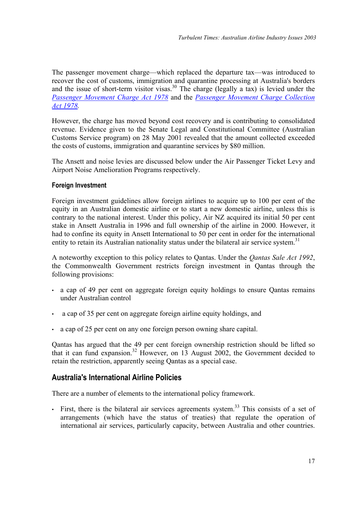<span id="page-20-0"></span>The passenger movement charge—which replaced the departure tax—was introduced to recover the cost of customs, immigration and quarantine processing at Australia's borders and the issue of short-term visitor visas.<sup>30</sup> The charge (legally a tax) is levied under the *[Passenger Movement Charge Act 1978](http://scaleplus.law.gov.au/html/pasteact/0/138/top.htm)* and the *[Passenger Movement Charge Collection](http://scaleplus.law.gov.au/html/pasteact/0/141/top.htm)  [Act 1978](http://scaleplus.law.gov.au/html/pasteact/0/141/top.htm).*

However, the charge has moved beyond cost recovery and is contributing to consolidated revenue. Evidence given to the Senate Legal and Constitutional Committee (Australian Customs Service program) on 28 May 2001 revealed that the amount collected exceeded the costs of customs, immigration and quarantine services by \$80 million.

The Ansett and noise levies are discussed below under the Air Passenger Ticket Levy and Airport Noise Amelioration Programs respectively.

### **Foreign Investment**

<span id="page-20-1"></span>Foreign investment guidelines allow foreign airlines to acquire up to 100 per cent of the equity in an Australian domestic airline or to start a new domestic airline, unless this is contrary to the national interest. Under this policy, Air NZ acquired its initial 50 per cent stake in Ansett Australia in 1996 and full ownership of the airline in 2000. However, it had to confine its equity in Ansett International to 50 per cent in order for the international entity to retain its Australian nationality status under the bilateral air service system.<sup>[31](#page-21-2)</sup>

A noteworthy exception to this policy relates to Qantas. Under the *Qantas Sale Act 1992*, the Commonwealth Government restricts foreign investment in Qantas through the following provisions:

- a cap of 49 per cent on aggregate foreign equity holdings to ensure Qantas remains under Australian control
- a cap of 35 per cent on aggregate foreign airline equity holdings, and
- a cap of 25 per cent on any one foreign person owning share capital.

Qantas has argued that the 49 per cent foreign ownership restriction should be lifted so that it can fund expansion.<sup>32</sup> However, on 13 August 2002, the Government decided to retain the restriction, apparently seeing Qantas as a special case.

## **Australia's International Airline Policies**

There are a number of elements to the international policy framework.

 $\cdot$  First, there is the bilateral air services agreements system.<sup>33</sup> This consists of a set of arrangements (which have the status of treaties) that regulate the operation of international air services, particularly capacity, between Australia and other countries.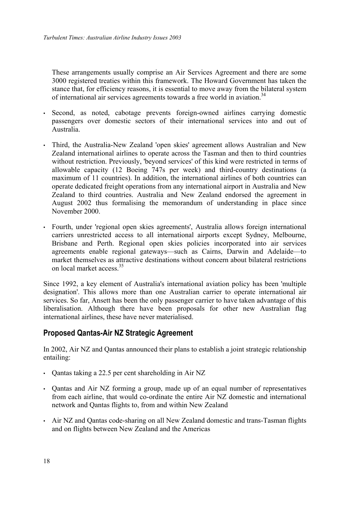<span id="page-21-0"></span>These arrangements usually comprise an Air Services Agreement and there are some 3000 registered treaties within this framework. The Howard Government has taken the stance that, for efficiency reasons, it is essential to move away from the bilateral system of international air services agreements towards a free world in aviation.<sup>[34](#page-21-5)</sup>

- <span id="page-21-5"></span>• Second, as noted, cabotage prevents foreign-owned airlines carrying domestic passengers over domestic sectors of their international services into and out of Australia.
- Third, the Australia-New Zealand 'open skies' agreement allows Australian and New Zealand international airlines to operate across the Tasman and then to third countries without restriction. Previously, 'beyond services' of this kind were restricted in terms of allowable capacity (12 Boeing 747s per week) and third-country destinations (a maximum of 11 countries). In addition, the international airlines of both countries can operate dedicated freight operations from any international airport in Australia and New Zealand to third countries. Australia and New Zealand endorsed the agreement in August 2002 thus formalising the memorandum of understanding in place since November 2000.
- <span id="page-21-2"></span><span id="page-21-1"></span>• Fourth, under 'regional open skies agreements', Australia allows foreign international carriers unrestricted access to all international airports except Sydney, Melbourne, Brisbane and Perth. Regional open skies policies incorporated into air services agreements enable regional gateways—such as Cairns, Darwin and Adelaide—to market themselves as attractive destinations without concern about bilateral restrictions on local market access<sup>[35](#page-22-0)</sup>

Since 1992, a key element of Australia's international aviation policy has been 'multiple designation'. This allows more than one Australian carrier to operate international air services. So far, Ansett has been the only passenger carrier to have taken advantage of this liberalisation. Although there have been proposals for other new Australian flag international airlines, these have never materialised.

## **Proposed Qantas-Air NZ Strategic Agreement**

In 2002, Air NZ and Qantas announced their plans to establish a joint strategic relationship entailing:

- Qantas taking a 22.5 per cent shareholding in Air NZ
- <span id="page-21-4"></span><span id="page-21-3"></span>• Qantas and Air NZ forming a group, made up of an equal number of representatives from each airline, that would co-ordinate the entire Air NZ domestic and international network and Qantas flights to, from and within New Zealand
- Air NZ and Qantas code-sharing on all New Zealand domestic and trans-Tasman flights and on flights between New Zealand and the Americas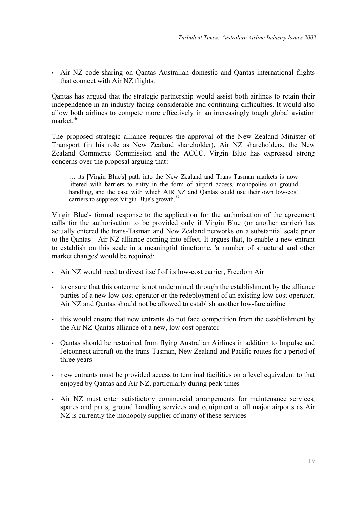• Air NZ code-sharing on Qantas Australian domestic and Qantas international flights that connect with Air NZ flights.

Qantas has argued that the strategic partnership would assist both airlines to retain their independence in an industry facing considerable and continuing difficulties. It would also allow both airlines to compete more effectively in an increasingly tough global aviation market. [36](#page-23-1)

<span id="page-22-0"></span>The proposed strategic alliance requires the approval of the New Zealand Minister of Transport (in his role as New Zealand shareholder), Air NZ shareholders, the New Zealand Commerce Commission and the ACCC. Virgin Blue has expressed strong concerns over the proposal arguing that:

… its [Virgin Blue's] path into the New Zealand and Trans Tasman markets is now littered with barriers to entry in the form of airport access, monopolies on ground handling, and the ease with which AIR NZ and Qantas could use their own low-cost carriers to suppress Virgin Blue's growth.<sup>37</sup>

Virgin Blue's formal response to the application for the authorisation of the agreement calls for the authorisation to be provided only if Virgin Blue (or another carrier) has actually entered the trans-Tasman and New Zealand networks on a substantial scale prior to the Qantas—Air NZ alliance coming into effect. It argues that, to enable a new entrant to establish on this scale in a meaningful timeframe, 'a number of structural and other market changes' would be required:

- Air NZ would need to divest itself of its low-cost carrier, Freedom Air
- to ensure that this outcome is not undermined through the establishment by the alliance parties of a new low-cost operator or the redeployment of an existing low-cost operator, Air NZ and Qantas should not be allowed to establish another low-fare airline
- this would ensure that new entrants do not face competition from the establishment by the Air NZ-Qantas alliance of a new, low cost operator
- Qantas should be restrained from flying Australian Airlines in addition to Impulse and Jetconnect aircraft on the trans-Tasman, New Zealand and Pacific routes for a period of three years
- new entrants must be provided access to terminal facilities on a level equivalent to that enjoyed by Qantas and Air NZ, particularly during peak times
- Air NZ must enter satisfactory commercial arrangements for maintenance services, spares and parts, ground handling services and equipment at all major airports as Air NZ is currently the monopoly supplier of many of these services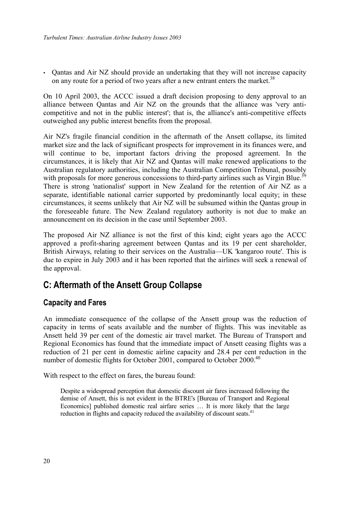<span id="page-23-0"></span>• Qantas and Air NZ should provide an undertaking that they will not increase capacity on any route for a period of two years after a new entrant enters the market.<sup>[38](#page-24-1)</sup>

On 10 April 2003, the ACCC issued a draft decision proposing to deny approval to an alliance between Qantas and Air NZ on the grounds that the alliance was 'very anticompetitive and not in the public interest'; that is, the alliance's anti-competitive effects outweighed any public interest benefits from the proposal.

<span id="page-23-1"></span>Air NZ's fragile financial condition in the aftermath of the Ansett collapse, its limited market size and the lack of significant prospects for improvement in its finances were, and will continue to be, important factors driving the proposed agreement. In the circumstances, it is likely that Air NZ and Qantas will make renewed applications to the Australian regulatory authorities, including the Australian Competition Tribunal, possibly with proposals for more generous concessions to third-party airlines such as Virgin Blue.<sup>39</sup> There is strong 'nationalist' support in New Zealand for the retention of Air NZ as a separate, identifiable national carrier supported by predominantly local equity; in these circumstances, it seems unlikely that Air NZ will be subsumed within the Qantas group in the foreseeable future. The New Zealand regulatory authority is not due to make an announcement on its decision in the case until September 2003.

<span id="page-23-2"></span>The proposed Air NZ alliance is not the first of this kind; eight years ago the ACCC approved a profit-sharing agreement between Qantas and its 19 per cent shareholder, British Airways, relating to their services on the Australia—UK 'kangaroo route'. This is due to expire in July 2003 and it has been reported that the airlines will seek a renewal of the approval.

# **C: Aftermath of the Ansett Group Collapse**

## **Capacity and Fares**

An immediate consequence of the collapse of the Ansett group was the reduction of capacity in terms of seats available and the number of flights. This was inevitable as Ansett held 39 per cent of the domestic air travel market. The Bureau of Transport and Regional Economics has found that the immediate impact of Ansett ceasing flights was a reduction of 21 per cent in domestic airline capacity and 28.4 per cent reduction in the number of domestic flights for October 2001, compared to October 2000.<sup>40</sup>

With respect to the effect on fares, the bureau found:

Despite a widespread perception that domestic discount air fares increased following the demise of Ansett, this is not evident in the BTRE's [Bureau of Transport and Regional Economics] published domestic real airfare series … It is more likely that the large reduction in flights and capacity reduced the availability of discount seats.<sup>[41](#page-24-4)</sup>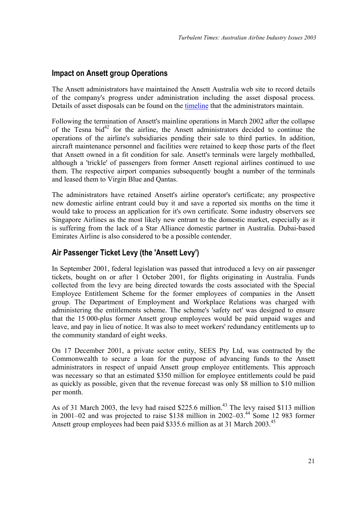# <span id="page-24-0"></span>**Impact on Ansett group Operations**

The Ansett administrators have maintained the Ansett Australia web site to record details of the company's progress under administration including the asset disposal process. Details of asset disposals can be found on the [timeline](http://www.ansett.com.au/timeline/timeline_f.htm) that the administrators maintain.

Following the termination of Ansett's mainline operations in March 2002 after the collapse of the Tesna bid $^{42}$  for the airline, the Ansett administrators decided to continue the operations of the airline's subsidiaries pending their sale to third parties. In addition, aircraft maintenance personnel and facilities were retained to keep those parts of the fleet that Ansett owned in a fit condition for sale. Ansett's terminals were largely mothballed, although a 'trickle' of passengers from former Ansett regional airlines continued to use them. The respective airport companies subsequently bought a number of the terminals and leased them to Virgin Blue and Qantas.

<span id="page-24-1"></span>The administrators have retained Ansett's airline operator's certificate; any prospective new domestic airline entrant could buy it and save a reported six months on the time it would take to process an application for it's own certificate. Some industry observers see Singapore Airlines as the most likely new entrant to the domestic market, especially as it is suffering from the lack of a Star Alliance domestic partner in Australia. Dubai-based Emirates Airline is also considered to be a possible contender.

# <span id="page-24-4"></span><span id="page-24-3"></span><span id="page-24-2"></span>**Air Passenger Ticket Levy (the 'Ansett Levy')**

In September 2001, federal legislation was passed that introduced a levy on air passenger tickets, bought on or after 1 October 2001, for flights originating in Australia. Funds collected from the levy are being directed towards the costs associated with the Special Employee Entitlement Scheme for the former employees of companies in the Ansett group. The Department of Employment and Workplace Relations was charged with administering the entitlements scheme. The scheme's 'safety net' was designed to ensure that the 15 000-plus former Ansett group employees would be paid unpaid wages and leave, and pay in lieu of notice. It was also to meet workers' redundancy entitlements up to the community standard of eight weeks.

On 17 December 2001, a private sector entity, SEES Pty Ltd, was contracted by the Commonwealth to secure a loan for the purpose of advancing funds to the Ansett administrators in respect of unpaid Ansett group employee entitlements. This approach was necessary so that an estimated \$350 million for employee entitlements could be paid as quickly as possible, given that the revenue forecast was only \$8 million to \$10 million per month.

As of 31 March 2003, the levy had raised \$225.6 million.<sup>43</sup> The levy raised \$113 million in 2001–02 and was projected to raise \$138 million in 2002–03.[44](#page-25-3) Some 12 983 former Ansett group employees had been paid \$335.6 million as at 31 March 2003.<sup>[45](#page-25-4)</sup>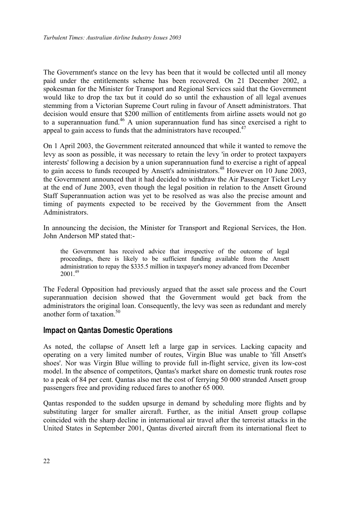<span id="page-25-0"></span>The Government's stance on the levy has been that it would be collected until all money paid under the entitlements scheme has been recovered. On 21 December 2002, a spokesman for the Minister for Transport and Regional Services said that the Government would like to drop the tax but it could do so until the exhaustion of all legal avenues stemming from a Victorian Supreme Court ruling in favour of Ansett administrators. That decision would ensure that \$200 million of entitlements from airline assets would not go to a superannuation fund.<sup>46</sup> A union superannuation fund has since exercised a right to appeal to gain access to funds that the administrators have recouped.<sup>47</sup>

On 1 April 2003, the Government reiterated announced that while it wanted to remove the levy as soon as possible, it was necessary to retain the levy 'in order to protect taxpayers interests' following a decision by a union superannuation fund to exercise a right of appeal to gain access to funds recouped by Ansett's administrators[.48](#page-26-3) However on 10 June 2003, the Government announced that it had decided to withdraw the Air Passenger Ticket Levy at the end of June 2003, even though the legal position in relation to the Ansett Ground Staff Superannuation action was yet to be resolved as was also the precise amount and timing of payments expected to be received by the Government from the Ansett Administrators.

In announcing the decision, the Minister for Transport and Regional Services, the Hon. John Anderson MP stated that:-

<span id="page-25-1"></span>the Government has received advice that irrespective of the outcome of legal proceedings, there is likely to be sufficient funding available from the Ansett administration to repay the \$335.5 million in taxpayer's money advanced from December  $2001^{49}$  $2001^{49}$  $2001^{49}$ 

The Federal Opposition had previously argued that the asset sale process and the Court superannuation decision showed that the Government would get back from the administrators the original loan. Consequently, the levy was seen as redundant and merely another form of taxation.<sup>[50](#page-26-5)</sup>

### <span id="page-25-2"></span>**Impact on Qantas Domestic Operations**

<span id="page-25-4"></span><span id="page-25-3"></span>As noted, the collapse of Ansett left a large gap in services. Lacking capacity and operating on a very limited number of routes, Virgin Blue was unable to 'fill Ansett's shoes'. Nor was Virgin Blue willing to provide full in-flight service, given its low-cost model. In the absence of competitors, Qantas's market share on domestic trunk routes rose to a peak of 84 per cent. Qantas also met the cost of ferrying 50 000 stranded Ansett group passengers free and providing reduced fares to another 65 000.

Qantas responded to the sudden upsurge in demand by scheduling more flights and by substituting larger for smaller aircraft. Further, as the initial Ansett group collapse coincided with the sharp decline in international air travel after the terrorist attacks in the United States in September 2001, Qantas diverted aircraft from its international fleet to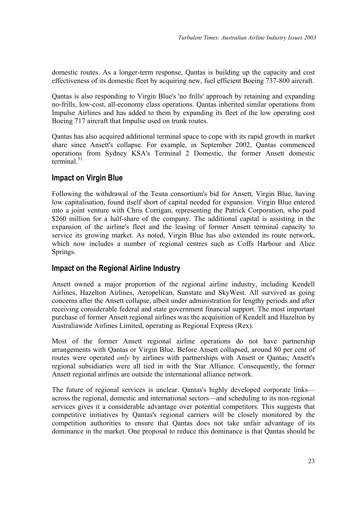<span id="page-26-0"></span>domestic routes. As a longer-term response, Qantas is building up the capacity and cost effectiveness of its domestic fleet by acquiring new, fuel efficient Boeing 737-800 aircraft.

<span id="page-26-5"></span>Qantas is also responding to Virgin Blue's 'no frills' approach by retaining and expanding no-frills, low-cost, all-economy class operations. Qantas inherited similar operations from Impulse Airlines and has added to them by expanding its fleet of the low operating cost Boeing 717 aircraft that Impulse used on trunk routes.

Qantas has also acquired additional terminal space to cope with its rapid growth in market share since Ansett's collapse. For example, in September 2002, Qantas commenced operations from Sydney KSA's Terminal 2 Domestic, the former Ansett domestic terminal. $51$ 

## **Impact on Virgin Blue**

Following the withdrawal of the Tesna consortium's bid for Ansett, Virgin Blue, having low capitalisation, found itself short of capital needed for expansion. Virgin Blue entered into a joint venture with Chris Corrigan, representing the Patrick Corporation, who paid \$260 million for a half-share of the company. The additional capital is assisting in the expansion of the airline's fleet and the leasing of former Ansett terminal capacity to service its growing market. As noted, Virgin Blue has also extended its route network, which now includes a number of regional centres such as Coffs Harbour and Alice Springs.

## **Impact on the Regional Airline Industry**

Ansett owned a major proportion of the regional airline industry, including Kendell Airlines, Hazelton Airlines, Aeropelican, Sunstate and SkyWest. All survived as going concerns after the Ansett collapse, albeit under administration for lengthy periods and after receiving considerable federal and state government financial support. The most important purchase of former Ansett regional airlines was the acquisition of Kendell and Hazelton by Australiawide Airlines Limited, operating as Regional Express (Rex).

Most of the former Ansett regional airline operations do not have partnership arrangements with Qantas or Virgin Blue. Before Ansett collapsed, around 80 per cent of routes were operated *only* by airlines with partnerships with Ansett or Qantas; Ansett's regional subsidiaries were all tied in with the Star Alliance. Consequently, the former Ansett regional airlines are outside the international alliance network.

<span id="page-26-4"></span><span id="page-26-3"></span><span id="page-26-2"></span><span id="page-26-1"></span>The future of regional services is unclear. Qantas's highly developed corporate links across the regional, domestic and international sectors—and scheduling to its non-regional services gives it a considerable advantage over potential competitors. This suggests that competitive initiatives by Qantas's regional carriers will be closely monitored by the competition authorities to ensure that Qantas does not take unfair advantage of its dominance in the market. One proposal to reduce this dominance is that Qantas should be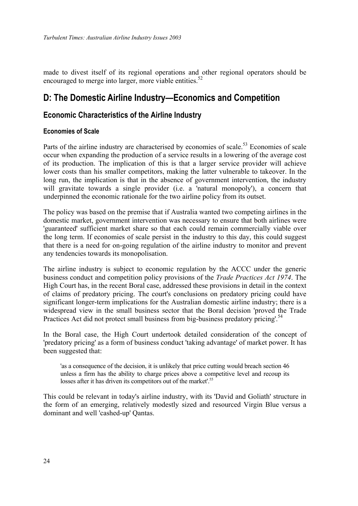<span id="page-27-0"></span>made to divest itself of its regional operations and other regional operators should be encouraged to merge into larger, more viable entities. $52$ 

# <span id="page-27-1"></span>**D: The Domestic Airline Industry—Economics and Competition**

### **Economic Characteristics of the Airline Industry**

### <span id="page-27-2"></span>**Economies of Scale**

Parts of the airline industry are characterised by economies of scale.<sup>53</sup> Economies of scale occur when expanding the production of a service results in a lowering of the average cost of its production. The implication of this is that a larger service provider will achieve lower costs than his smaller competitors, making the latter vulnerable to takeover. In the long run, the implication is that in the absence of government intervention, the industry will gravitate towards a single provider (i.e. a 'natural monopoly'), a concern that underpinned the economic rationale for the two airline policy from its outset.

The policy was based on the premise that if Australia wanted two competing airlines in the domestic market, government intervention was necessary to ensure that both airlines were 'guaranteed' sufficient market share so that each could remain commercially viable over the long term. If economies of scale persist in the industry to this day, this could suggest that there is a need for on-going regulation of the airline industry to monitor and prevent any tendencies towards its monopolisation.

The airline industry is subject to economic regulation by the ACCC under the generic business conduct and competition policy provisions of the *Trade Practices Act 1974*. The High Court has, in the recent Boral case, addressed these provisions in detail in the context of claims of predatory pricing. The court's conclusions on predatory pricing could have significant longer-term implications for the Australian domestic airline industry; there is a widespread view in the small business sector that the Boral decision 'proved the Trade Practices Act did not protect small business from big-business predatory pricing.<sup>[54](#page-28-2)</sup>

In the Boral case, the High Court undertook detailed consideration of the concept of 'predatory pricing' as a form of business conduct 'taking advantage' of market power. It has been suggested that:

'as a consequence of the decision, it is unlikely that price cutting would breach section 46 unless a firm has the ability to charge prices above a competitive level and recoup its losses after it has driven its competitors out of the market'. [55](#page-28-3) 

This could be relevant in today's airline industry, with its 'David and Goliath' structure in the form of an emerging, relatively modestly sized and resourced Virgin Blue versus a dominant and well 'cashed-up' Qantas.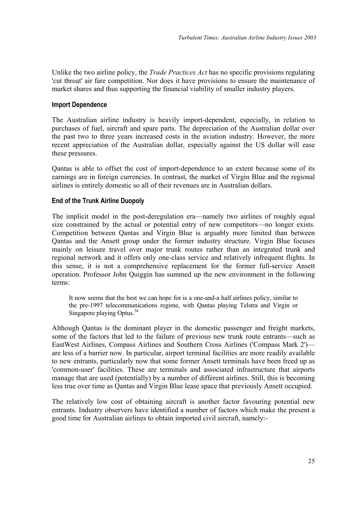<span id="page-28-0"></span>Unlike the two airline policy, the *Trade Practices Act* has no specific provisions regulating 'cut throat' air fare competition. Nor does it have provisions to ensure the maintenance of market shares and thus supporting the financial viability of smaller industry players.

### **Import Dependence**

The Australian airline industry is heavily import-dependent, especially, in relation to purchases of fuel, aircraft and spare parts. The depreciation of the Australian dollar over the past two to three years increased costs in the aviation industry. However, the more recent appreciation of the Australian dollar, especially against the US dollar will ease these pressures.

<span id="page-28-2"></span><span id="page-28-1"></span>Qantas is able to offset the cost of import-dependence to an extent because some of its earnings are in foreign currencies. In contrast, the market of Virgin Blue and the regional airlines is entirely domestic so all of their revenues are in Australian dollars.

### <span id="page-28-3"></span>**End of the Trunk Airline Duopoly**

The implicit model in the post-deregulation era—namely two airlines of roughly equal size constrained by the actual or potential entry of new competitors—no longer exists. Competition between Qantas and Virgin Blue is arguably more limited than between Qantas and the Ansett group under the former industry structure. Virgin Blue focuses mainly on leisure travel over major trunk routes rather than an integrated trunk and regional network and it offers only one-class service and relatively infrequent flights. In this sense, it is not a comprehensive replacement for the former full-service Ansett operation. Professor John Quiggin has summed up the new environment in the following terms:

It now seems that the best we can hope for is a one-and-a half airlines policy, similar to the pre-1997 telecommunications regime, with Qantas playing Telstra and Virgin or Singapore playing Optus.<sup>[56](#page-29-1)</sup>

Although Qantas is the dominant player in the domestic passenger and freight markets, some of the factors that led to the failure of previous new trunk route entrants—such as EastWest Airlines, Compass Airlines and Southern Cross Airlines ('Compass Mark 2') are less of a barrier now. In particular, airport terminal facilities are more readily available to new entrants, particularly now that some former Ansett terminals have been freed up as 'common-user' facilities. These are terminals and associated infrastructure that airports manage that are used (potentially) by a number of different airlines. Still, this is becoming less true over time as Qantas and Virgin Blue lease space that previously Ansett occupied.

The relatively low cost of obtaining aircraft is another factor favouring potential new entrants. Industry observers have identified a number of factors which make the present a good time for Australian airlines to obtain imported civil aircraft, namely:-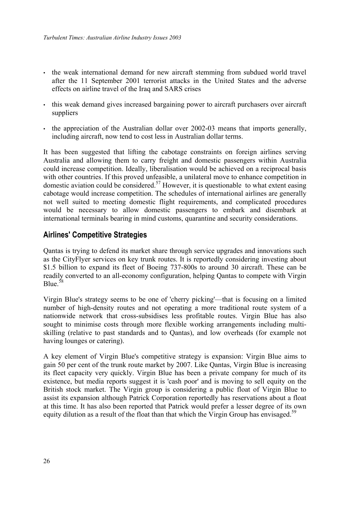- <span id="page-29-0"></span>• the weak international demand for new aircraft stemming from subdued world travel after the 11 September 2001 terrorist attacks in the United States and the adverse effects on airline travel of the Iraq and SARS crises
- this weak demand gives increased bargaining power to aircraft purchasers over aircraft suppliers
- the appreciation of the Australian dollar over 2002-03 means that imports generally, including aircraft, now tend to cost less in Australian dollar terms.

It has been suggested that lifting the cabotage constraints on foreign airlines serving Australia and allowing them to carry freight and domestic passengers within Australia could increase competition. Ideally, liberalisation would be achieved on a reciprocal basis with other countries. If this proved unfeasible, a unilateral move to enhance competition in domestic aviation could be considered.<sup>57</sup> However, it is questionable to what extent easing cabotage would increase competition. The schedules of international airlines are generally not well suited to meeting domestic flight requirements, and complicated procedures would be necessary to allow domestic passengers to embark and disembark at international terminals bearing in mind customs, quarantine and security considerations.

### <span id="page-29-1"></span>**Airlines' Competitive Strategies**

Qantas is trying to defend its market share through service upgrades and innovations such as the CityFlyer services on key trunk routes. It is reportedly considering investing about \$1.5 billion to expand its fleet of Boeing 737-800s to around 30 aircraft. These can be readily converted to an all-economy configuration, helping Qantas to compete with Virgin Blue  $58$ 

Virgin Blue's strategy seems to be one of 'cherry picking'—that is focusing on a limited number of high-density routes and not operating a more traditional route system of a nationwide network that cross-subsidises less profitable routes. Virgin Blue has also sought to minimise costs through more flexible working arrangements including multiskilling (relative to past standards and to Qantas), and low overheads (for example not having lounges or catering).

A key element of Virgin Blue's competitive strategy is expansion: Virgin Blue aims to gain 50 per cent of the trunk route market by 2007. Like Qantas, Virgin Blue is increasing its fleet capacity very quickly. Virgin Blue has been a private company for much of its existence, but media reports suggest it is 'cash poor' and is moving to sell equity on the British stock market. The Virgin group is considering a public float of Virgin Blue to assist its expansion although Patrick Corporation reportedly has reservations about a float at this time. It has also been reported that Patrick would prefer a lesser degree of its own equity dilution as a result of the float than that which the Virgin Group has envisaged.<sup>[59](#page-30-3)</sup>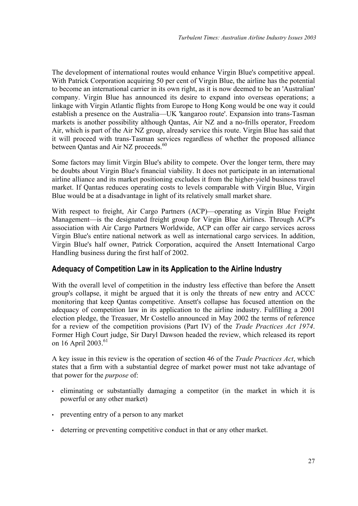<span id="page-30-0"></span>The development of international routes would enhance Virgin Blue's competitive appeal. With Patrick Corporation acquiring 50 per cent of Virgin Blue, the airline has the potential to become an international carrier in its own right, as it is now deemed to be an 'Australian' company. Virgin Blue has announced its desire to expand into overseas operations; a linkage with Virgin Atlantic flights from Europe to Hong Kong would be one way it could establish a presence on the Australia—UK 'kangaroo route'. Expansion into trans-Tasman markets is another possibility although Qantas, Air NZ and a no-frills operator, Freedom Air, which is part of the Air NZ group, already service this route. Virgin Blue has said that it will proceed with trans-Tasman services regardless of whether the proposed alliance between Qantas and Air NZ proceeds.<sup>[60](#page-31-1)</sup>

Some factors may limit Virgin Blue's ability to compete. Over the longer term, there may be doubts about Virgin Blue's financial viability. It does not participate in an international airline alliance and its market positioning excludes it from the higher-yield business travel market. If Qantas reduces operating costs to levels comparable with Virgin Blue, Virgin Blue would be at a disadvantage in light of its relatively small market share.

<span id="page-30-2"></span><span id="page-30-1"></span>With respect to freight, Air Cargo Partners (ACP)—operating as Virgin Blue Freight Management—is the designated freight group for Virgin Blue Airlines. Through ACP's association with Air Cargo Partners Worldwide, ACP can offer air cargo services across Virgin Blue's entire national network as well as international cargo services. In addition, Virgin Blue's half owner, Patrick Corporation, acquired the Ansett International Cargo Handling business during the first half of 2002.

## <span id="page-30-3"></span>**Adequacy of Competition Law in its Application to the Airline Industry**

With the overall level of competition in the industry less effective than before the Ansett group's collapse, it might be argued that it is only the threats of new entry and ACCC monitoring that keep Qantas competitive. Ansett's collapse has focused attention on the adequacy of competition law in its application to the airline industry. Fulfilling a 2001 election pledge, the Treasuer, Mr Costello announced in May 2002 the terms of reference for a review of the competition provisions (Part IV) of the *Trade Practices Act 1974*. Former High Court judge, Sir Daryl Dawson headed the review, which released its report on 16 April 2003.<sup>[61](#page-31-2)</sup>

A key issue in this review is the operation of section 46 of the *Trade Practices Act*, which states that a firm with a substantial degree of market power must not take advantage of that power for the *purpose* of:

- eliminating or substantially damaging a competitor (in the market in which it is powerful or any other market)
- preventing entry of a person to any market
- deterring or preventing competitive conduct in that or any other market.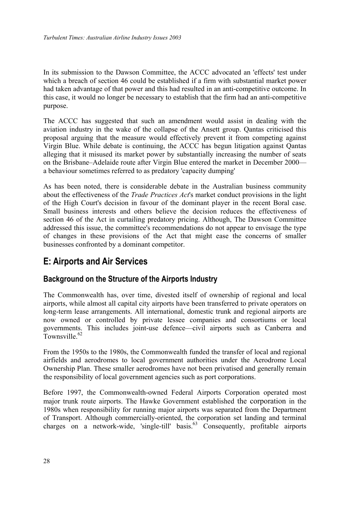<span id="page-31-0"></span>In its submission to the Dawson Committee, the ACCC advocated an 'effects' test under which a breach of section 46 could be established if a firm with substantial market power had taken advantage of that power and this had resulted in an anti-competitive outcome. In this case, it would no longer be necessary to establish that the firm had an anti-competitive purpose.

The ACCC has suggested that such an amendment would assist in dealing with the aviation industry in the wake of the collapse of the Ansett group. Qantas criticised this proposal arguing that the measure would effectively prevent it from competing against Virgin Blue. While debate is continuing, the ACCC has begun litigation against Qantas alleging that it misused its market power by substantially increasing the number of seats on the Brisbane–Adelaide route after Virgin Blue entered the market in December 2000 a behaviour sometimes referred to as predatory 'capacity dumping'

As has been noted, there is considerable debate in the Australian business community about the effectiveness of the *Trade Practices Act*'s market conduct provisions in the light of the High Court's decision in favour of the dominant player in the recent Boral case. Small business interests and others believe the decision reduces the effectiveness of section 46 of the Act in curtailing predatory pricing. Although, The Dawson Committee addressed this issue, the committee's recommendations do not appear to envisage the type of changes in these provisions of the Act that might ease the concerns of smaller businesses confronted by a dominant competitor.

# <span id="page-31-1"></span>**E: Airports and Air Services**

## <span id="page-31-2"></span>**Background on the Structure of the Airports Industry**

The Commonwealth has, over time, divested itself of ownership of regional and local airports, while almost all capital city airports have been transferred to private operators on long-term lease arrangements. All international, domestic trunk and regional airports are now owned or controlled by private lessee companies and consortiums or local governments. This includes joint-use defence—civil airports such as Canberra and Townsville $62$ 

From the 1950s to the 1980s, the Commonwealth funded the transfer of local and regional airfields and aerodromes to local government authorities under the Aerodrome Local Ownership Plan. These smaller aerodromes have not been privatised and generally remain the responsibility of local government agencies such as port corporations.

Before 1997, the Commonwealth-owned Federal Airports Corporation operated most major trunk route airports. The Hawke Government established the corporation in the 1980s when responsibility for running major airports was separated from the Department of Transport. Although commercially-oriented, the corporation set landing and terminal charges on a network-wide, 'single-till' basis. $^{63}$  Consequently, profitable airports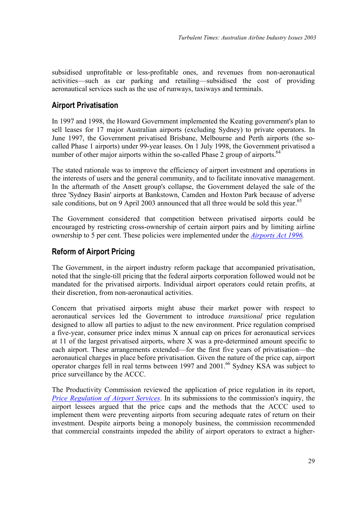<span id="page-32-0"></span>subsidised unprofitable or less-profitable ones, and revenues from non-aeronautical activities—such as car parking and retailing—subsidised the cost of providing aeronautical services such as the use of runways, taxiways and terminals.

## **Airport Privatisation**

In 1997 and 1998, the Howard Government implemented the Keating government's plan to sell leases for 17 major Australian airports (excluding Sydney) to private operators. In June 1997, the Government privatised Brisbane, Melbourne and Perth airports (the socalled Phase 1 airports) under 99-year leases. On 1 July 1998, the Government privatised a number of other major airports within the so-called Phase 2 group of airports.<sup>64</sup>

The stated rationale was to improve the efficiency of airport investment and operations in the interests of users and the general community, and to facilitate innovative management. In the aftermath of the Ansett group's collapse, the Government delayed the sale of the three 'Sydney Basin' airports at Bankstown, Camden and Hoxton Park because of adverse sale conditions, but on 9 April 2003 announced that all three would be sold this year.<sup>65</sup>

The Government considered that competition between privatised airports could be encouraged by restricting cross-ownership of certain airport pairs and by limiting airline ownership to 5 per cent. These policies were implemented under the *[Airports Act 1996.](http://scaleplus.law.gov.au/html/pasteact/1/940/top.htm)* 

# **Reform of Airport Pricing**

The Government, in the airport industry reform package that accompanied privatisation, noted that the single-till pricing that the federal airports corporation followed would not be mandated for the privatised airports. Individual airport operators could retain profits, at their discretion, from non-aeronautical activities.

<span id="page-32-2"></span><span id="page-32-1"></span>Concern that privatised airports might abuse their market power with respect to aeronautical services led the Government to introduce *transitional* price regulation designed to allow all parties to adjust to the new environment. Price regulation comprised a five-year, consumer price index minus X annual cap on prices for aeronautical services at 11 of the largest privatised airports, where X was a pre-determined amount specific to each airport. These arrangements extended—for the first five years of privatisation—the aeronautical charges in place before privatisation. Given the nature of the price cap, airport operator charges fell in real terms between 1997 and 2001.[66](#page-33-3) Sydney KSA was subject to price surveillance by the ACCC.

The Productivity Commission reviewed the application of price regulation in its report, *[Price Regulation of Airport Services](http://www.pc.gov.au/inquiry/airports/finalreport/index.html)*. In its submissions to the commission's inquiry, the airport lessees argued that the price caps and the methods that the ACCC used to implement them were preventing airports from securing adequate rates of return on their investment. Despite airports being a monopoly business, the commission recommended that commercial constraints impeded the ability of airport operators to extract a higher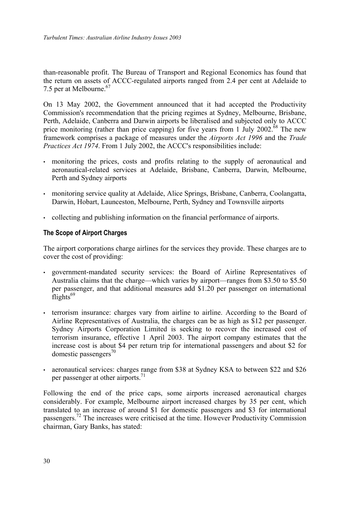<span id="page-33-3"></span><span id="page-33-0"></span>than-reasonable profit. The Bureau of Transport and Regional Economics has found that the return on assets of ACCC-regulated airports ranged from 2.4 per cent at Adelaide to 7.5 per at Melbourne.<sup>67</sup>

<span id="page-33-4"></span>On 13 May 2002, the Government announced that it had accepted the Productivity Commission's recommendation that the pricing regimes at Sydney, Melbourne, Brisbane, Perth, Adelaide, Canberra and Darwin airports be liberalised and subjected only to ACCC price monitoring (rather than price capping) for five years from 1 July 2002.<sup>68</sup> The new framework comprises a package of measures under the *Airports Act 1996* and the *Trade Practices Act 1974*. From 1 July 2002, the ACCC's responsibilities include:

- monitoring the prices, costs and profits relating to the supply of aeronautical and aeronautical-related services at Adelaide, Brisbane, Canberra, Darwin, Melbourne, Perth and Sydney airports
- monitoring service quality at Adelaide, Alice Springs, Brisbane, Canberra, Coolangatta, Darwin, Hobart, Launceston, Melbourne, Perth, Sydney and Townsville airports
- collecting and publishing information on the financial performance of airports.

### **The Scope of Airport Charges**

The airport corporations charge airlines for the services they provide. These charges are to cover the cost of providing:

- government-mandated security services: the Board of Airline Representatives of Australia claims that the charge—which varies by airport—ranges from \$3.50 to \$5.50 per passenger, and that additional measures add \$1.20 per passenger on international  $\text{flights}^{69}$  $\text{flights}^{69}$  $\text{flights}^{69}$
- terrorism insurance: charges vary from airline to airline. According to the Board of Airline Representatives of Australia, the charges can be as high as \$12 per passenger. Sydney Airports Corporation Limited is seeking to recover the increased cost of terrorism insurance, effective 1 April 2003. The airport company estimates that the increase cost is about \$4 per return trip for international passengers and about \$2 for domestic passengers<sup>70</sup>
- aeronautical services: charges range from \$38 at Sydney KSA to between \$22 and \$26 per passenger at other airports.<sup>[71](#page-34-4)</sup>

<span id="page-33-2"></span><span id="page-33-1"></span>Following the end of the price caps, some airports increased aeronautical charges considerably. For example, Melbourne airport increased charges by 35 per cent, which translated to an increase of around \$1 for domestic passengers and \$3 for international passengers[.72](#page-34-5) The increases were criticised at the time. However Productivity Commission chairman, Gary Banks, has stated: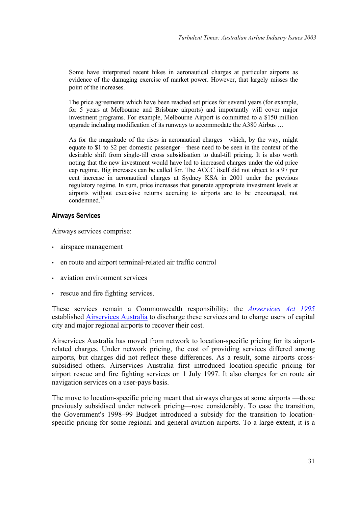<span id="page-34-0"></span>Some have interpreted recent hikes in aeronautical charges at particular airports as evidence of the damaging exercise of market power. However, that largely misses the point of the increases.

<span id="page-34-1"></span>The price agreements which have been reached set prices for several years (for example, for 5 years at Melbourne and Brisbane airports) and importantly will cover major investment programs. For example, Melbourne Airport is committed to a \$150 million upgrade including modification of its runways to accommodate the A380 Airbus …

<span id="page-34-5"></span><span id="page-34-4"></span><span id="page-34-3"></span><span id="page-34-2"></span>As for the magnitude of the rises in aeronautical charges—which, by the way, might equate to \$1 to \$2 per domestic passenger—these need to be seen in the context of the desirable shift from single-till cross subsidisation to dual-till pricing. It is also worth noting that the new investment would have led to increased charges under the old price cap regime. Big increases can be called for. The ACCC itself did not object to a 97 per cent increase in aeronautical charges at Sydney KSA in 2001 under the previous regulatory regime. In sum, price increases that generate appropriate investment levels at airports without excessive returns accruing to airports are to be encouraged, not condemned.[73](#page-35-1)

### **Airways Services**

Airways services comprise:

- airspace management
- en route and airport terminal-related air traffic control
- aviation environment services
- rescue and fire fighting services.

These services remain a Commonwealth responsibility; the *[Airservices Act 1995](http://scaleplus.law.gov.au/html/pasteact/2/1217/top.htm)* established [Airservices Australia](http://www.airservicesaustralia.com/default.asp) to discharge these services and to charge users of capital city and major regional airports to recover their cost.

Airservices Australia has moved from network to location-specific pricing for its airportrelated charges. Under network pricing, the cost of providing services differed among airports, but charges did not reflect these differences. As a result, some airports crosssubsidised others. Airservices Australia first introduced location-specific pricing for airport rescue and fire fighting services on 1 July 1997. It also charges for en route air navigation services on a user-pays basis.

The move to location-specific pricing meant that airways charges at some airports —those previously subsidised under network pricing—rose considerably. To ease the transition, the Government's 1998–99 Budget introduced a subsidy for the transition to locationspecific pricing for some regional and general aviation airports. To a large extent, it is a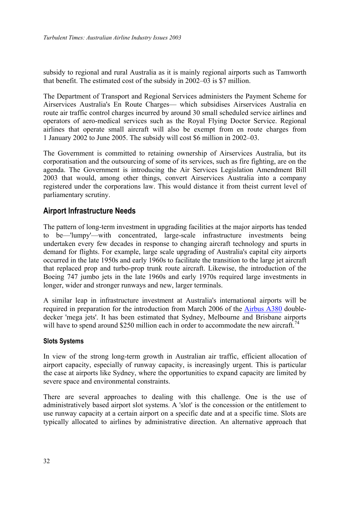<span id="page-35-0"></span>subsidy to regional and rural Australia as it is mainly regional airports such as Tamworth that benefit. The estimated cost of the subsidy in 2002–03 is \$7 million.

The Department of Transport and Regional Services administers the Payment Scheme for Airservices Australia's En Route Charges— which subsidises Airservices Australia en route air traffic control charges incurred by around 30 small scheduled service airlines and operators of aero-medical services such as the Royal Flying Doctor Service. Regional airlines that operate small aircraft will also be exempt from en route charges from 1 January 2002 to June 2005. The subsidy will cost \$6 million in 2002–03.

The Government is committed to retaining ownership of Airservices Australia, but its corporatisation and the outsourcing of some of its services, such as fire fighting, are on the agenda. The Government is introducing the Air Services Legislation Amendment Bill 2003 that would, among other things, convert Airservices Australia into a company registered under the corporations law. This would distance it from theist current level of parliamentary scrutiny.

## <span id="page-35-1"></span>**Airport Infrastructure Needs**

The pattern of long-term investment in upgrading facilities at the major airports has tended to be—'lumpy'—with concentrated, large-scale infrastructure investments being undertaken every few decades in response to changing aircraft technology and spurts in demand for flights. For example, large scale upgrading of Australia's capital city airports occurred in the late 1950s and early 1960s to facilitate the transition to the large jet aircraft that replaced prop and turbo-prop trunk route aircraft. Likewise, the introduction of the Boeing 747 jumbo jets in the late 1960s and early 1970s required large investments in longer, wider and stronger runways and new, larger terminals.

A similar leap in infrastructure investment at Australia's international airports will be required in preparation for the introduction from March 2006 of the [Airbus A380](http://www.airbus.com/product/a380_backgrounder.asp) doubledecker 'mega jets'. It has been estimated that Sydney, Melbourne and Brisbane airports will have to spend around \$250 million each in order to accommodate the new aircraft.<sup>74</sup>

### **Slots Systems**

In view of the strong long-term growth in Australian air traffic, efficient allocation of airport capacity, especially of runway capacity, is increasingly urgent. This is particular the case at airports like Sydney, where the opportunities to expand capacity are limited by severe space and environmental constraints.

There are several approaches to dealing with this challenge. One is the use of administratively based airport slot systems. A 'slot' is the concession or the entitlement to use runway capacity at a certain airport on a specific date and at a specific time. Slots are typically allocated to airlines by administrative direction. An alternative approach that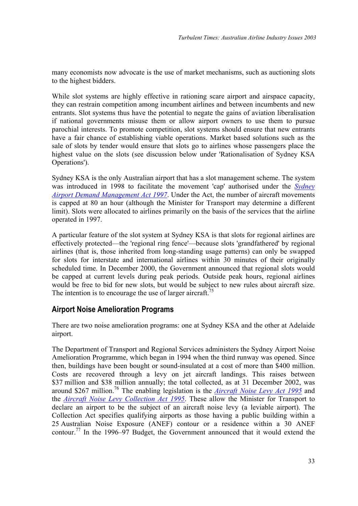<span id="page-36-0"></span>many economists now advocate is the use of market mechanisms, such as auctioning slots to the highest bidders.

While slot systems are highly effective in rationing scare airport and airspace capacity, they can restrain competition among incumbent airlines and between incumbents and new entrants. Slot systems thus have the potential to negate the gains of aviation liberalisation if national governments misuse them or allow airport owners to use them to pursue parochial interests. To promote competition, slot systems should ensure that new entrants have a fair chance of establishing viable operations. Market based solutions such as the sale of slots by tender would ensure that slots go to airlines whose passengers place the highest value on the slots (see discussion below under 'Rationalisation of Sydney KSA Operations').

Sydney KSA is the only Australian airport that has a slot management scheme. The system was introduced in 1998 to facilitate the movement 'cap' authorised under the *[Sydney](http://scaleplus.law.gov.au/html/pasteact/2/3185/top.htm)  [Airport Demand Management Act 1997](http://scaleplus.law.gov.au/html/pasteact/2/3185/top.htm)*. Under the Act, the number of aircraft movements is capped at 80 an hour (although the Minister for Transport may determine a different limit). Slots were allocated to airlines primarily on the basis of the services that the airline operated in 1997.

<span id="page-36-1"></span>A particular feature of the slot system at Sydney KSA is that slots for regional airlines are effectively protected—the 'regional ring fence'—because slots 'grandfathered' by regional airlines (that is, those inherited from long-standing usage patterns) can only be swapped for slots for interstate and international airlines within 30 minutes of their originally scheduled time. In December 2000, the Government announced that regional slots would be capped at current levels during peak periods. Outside peak hours, regional airlines would be free to bid for new slots, but would be subject to new rules about aircraft size. The intention is to encourage the use of larger aircraft.<sup>75</sup>

## **Airport Noise Amelioration Programs**

There are two noise amelioration programs: one at Sydney KSA and the other at Adelaide airport.

The Department of Transport and Regional Services administers the Sydney Airport Noise Amelioration Programme, which began in 1994 when the third runway was opened. Since then, buildings have been bought or sound-insulated at a cost of more than \$400 million. Costs are recovered through a levy on jet aircraft landings. This raises between \$37 million and \$38 million annually; the total collected, as at 31 December 2002, was around \$267 million.[76](#page-37-2) The enabling legislation is the *[Aircraft Noise Levy Act 1995](http://scaleplus.law.gov.au/html/pasteact/1/577/top.htm)* and the *[Aircraft Noise Levy Collection Act 1995](http://scaleplus.law.gov.au/html/pasteact/1/621/top.htm)*. These allow the Minister for Transport to declare an airport to be the subject of an aircraft noise levy (a leviable airport). The Collection Act specifies qualifying airports as those having a public building within a 25 Australian Noise Exposure (ANEF) contour or a residence within a 30 ANEF contour.<sup>77</sup> In the 1996–97 Budget, the Government announced that it would extend the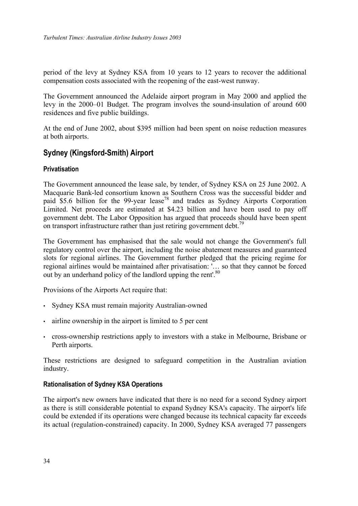<span id="page-37-0"></span>period of the levy at Sydney KSA from 10 years to 12 years to recover the additional compensation costs associated with the reopening of the east-west runway.

The Government announced the Adelaide airport program in May 2000 and applied the levy in the 2000–01 Budget. The program involves the sound-insulation of around 600 residences and five public buildings.

At the end of June 2002, about \$395 million had been spent on noise reduction measures at both airports.

## **Sydney (Kingsford-Smith) Airport**

### **Privatisation**

The Government announced the lease sale, by tender, of Sydney KSA on 25 June 2002. A Macquarie Bank-led consortium known as Southern Cross was the successful bidder and paid  $$5.6$  billion for the 99-year lease<sup>78</sup> and trades as Sydney Airports Corporation Limited. Net proceeds are estimated at \$4.23 billion and have been used to pay off government debt. The Labor Opposition has argued that proceeds should have been spent on transport infrastructure rather than just retiring government debt.<sup>[79](#page-38-2)</sup>

<span id="page-37-2"></span><span id="page-37-1"></span>The Government has emphasised that the sale would not change the Government's full regulatory control over the airport, including the noise abatement measures and guaranteed slots for regional airlines. The Government further pledged that the pricing regime for regional airlines would be maintained after privatisation: '… so that they cannot be forced out by an underhand policy of the landlord upping the rent'.<sup>[80](#page-38-3)</sup>

<span id="page-37-3"></span>Provisions of the Airports Act require that:

- Sydney KSA must remain majority Australian-owned
- airline ownership in the airport is limited to 5 per cent
- cross-ownership restrictions apply to investors with a stake in Melbourne, Brisbane or Perth airports.

These restrictions are designed to safeguard competition in the Australian aviation industry.

### **Rationalisation of Sydney KSA Operations**

The airport's new owners have indicated that there is no need for a second Sydney airport as there is still considerable potential to expand Sydney KSA's capacity. The airport's life could be extended if its operations were changed because its technical capacity far exceeds its actual (regulation-constrained) capacity. In 2000, Sydney KSA averaged 77 passengers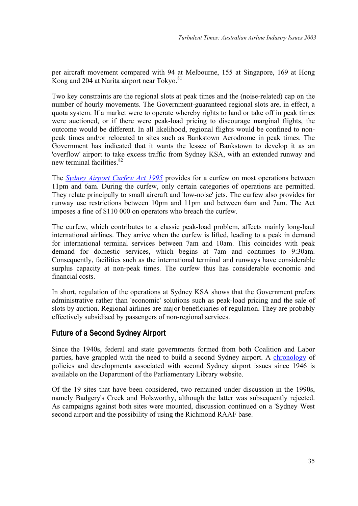<span id="page-38-0"></span>per aircraft movement compared with 94 at Melbourne, 155 at Singapore, 169 at Hong Kong and 204 at Narita airport near Tokyo. $81$ 

Two key constraints are the regional slots at peak times and the (noise-related) cap on the number of hourly movements. The Government-guaranteed regional slots are, in effect, a quota system. If a market were to operate whereby rights to land or take off in peak times were auctioned, or if there were peak-load pricing to discourage marginal flights, the outcome would be different. In all likelihood, regional flights would be confined to nonpeak times and/or relocated to sites such as Bankstown Aerodrome in peak times. The Government has indicated that it wants the lessee of Bankstown to develop it as an 'overflow' airport to take excess traffic from Sydney KSA, with an extended runway and new terminal facilities.<sup>[82](#page-39-1)</sup>

The *[Sydney Airport Curfew Act 1995](http://scaleplus.law.gov.au/html/pasteact/2/1231/top.htm)* provides for a curfew on most operations between 11pm and 6am. During the curfew, only certain categories of operations are permitted. They relate principally to small aircraft and 'low-noise' jets. The curfew also provides for runway use restrictions between 10pm and 11pm and between 6am and 7am. The Act imposes a fine of \$110 000 on operators who breach the curfew.

The curfew, which contributes to a classic peak-load problem, affects mainly long-haul international airlines. They arrive when the curfew is lifted, leading to a peak in demand for international terminal services between 7am and 10am. This coincides with peak demand for domestic services, which begins at 7am and continues to 9:30am. Consequently, facilities such as the international terminal and runways have considerable surplus capacity at non-peak times. The curfew thus has considerable economic and financial costs.

In short, regulation of the operations at Sydney KSA shows that the Government prefers administrative rather than 'economic' solutions such as peak-load pricing and the sale of slots by auction. Regional airlines are major beneficiaries of regulation. They are probably effectively subsidised by passengers of non-regional services.

# **Future of a Second Sydney Airport**

<span id="page-38-2"></span><span id="page-38-1"></span>Since the 1940s, federal and state governments formed from both Coalition and Labor parties, have grappled with the need to build a second Sydney airport. A [chronology](http://www.aph.gov.au/library/pubs/chron/2001-02/02chr02.pdf) of policies and developments associated with second Sydney airport issues since 1946 is available on the Department of the Parliamentary Library website.

<span id="page-38-4"></span><span id="page-38-3"></span>Of the 19 sites that have been considered, two remained under discussion in the 1990s, namely Badgery's Creek and Holsworthy, although the latter was subsequently rejected. As campaigns against both sites were mounted, discussion continued on a 'Sydney West second airport and the possibility of using the Richmond RAAF base.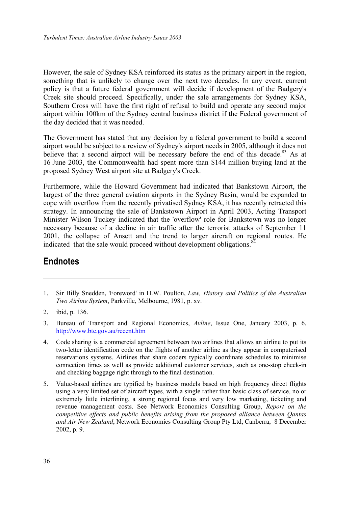<span id="page-39-1"></span><span id="page-39-0"></span>However, the sale of Sydney KSA reinforced its status as the primary airport in the region, something that is unlikely to change over the next two decades. In any event, current policy is that a future federal government will decide if development of the Badgery's Creek site should proceed. Specifically, under the sale arrangements for Sydney KSA, Southern Cross will have the first right of refusal to build and operate any second major airport within 100km of the Sydney central business district if the Federal government of the day decided that it was needed.

The Government has stated that any decision by a federal government to build a second airport would be subject to a review of Sydney's airport needs in 2005, although it does not believe that a second airport will be necessary before the end of this decade.<sup>83</sup> As at 16 June 2003, the Commonwealth had spent more than \$144 million buying land at the proposed Sydney West airport site at Badgery's Creek.

Furthermore, while the Howard Government had indicated that Bankstown Airport, the largest of the three general aviation airports in the Sydney Basin, would be expanded to cope with overflow from the recently privatised Sydney KSA, it has recently retracted this strategy. In announcing the sale of Bankstown Airport in April 2003, Acting Transport Minister Wilson Tuckey indicated that the 'overflow' role for Bankstown was no longer necessary because of a decline in air traffic after the terrorist attacks of September 11 2001, the collapse of Ansett and the trend to larger aircraft on regional routes. He indicated that the sale would proceed without development obligations. $8<sup>2</sup>$ 

# **Endnotes**

 $\overline{a}$ 

<sup>1.</sup> Sir Billy Snedden, 'Foreword' in H.W. Poulton, *Law, History and Politics of the Australian Two Airline System*, Parkville, Melbourne, 1981, p. xv.

<sup>2.</sup> ibid, p. 136.

<sup>3.</sup> Bureau of Transport and Regional Economics, *Avline*, Issue One, January 2003, p. 6. <http://www.bte.gov.au/recent.htm>

<sup>4.</sup> Code sharing is a commercial agreement between two airlines that allows an airline to put its two-letter identification code on the flights of another airline as they appear in computerised reservations systems. Airlines that share coders typically coordinate schedules to minimise connection times as well as provide additional customer services, such as one-stop check-in and checking baggage right through to the final destination.

<sup>5.</sup> Value-based airlines are typified by business models based on high frequency direct flights using a very limited set of aircraft types, with a single rather than basic class of service, no or extremely little interlining, a strong regional focus and very low marketing, ticketing and revenue management costs. See Network Economics Consulting Group, *Report on the competitive effects and public benefits arising from the proposed alliance between Qantas and Air New Zealand*, Network Economics Consulting Group Pty Ltd, Canberra, 8 December 2002, p. 9.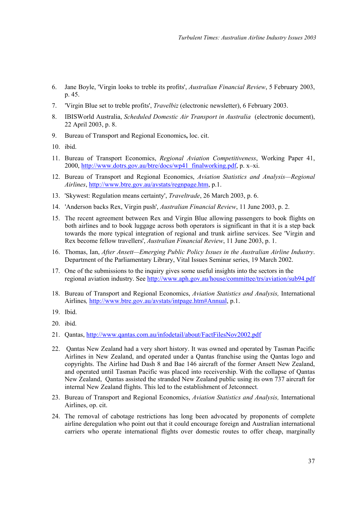- 6. Jane Boyle, 'Virgin looks to treble its profits', *Australian Financial Review*, 5 February 2003, p. 45.
- <span id="page-40-1"></span><span id="page-40-0"></span>7. 'Virgin Blue set to treble profits', *Travelbiz* (electronic newsletter), 6 February 2003.
- 8. IBISWorld Australia, *Scheduled Domestic Air Transport in Australia* (electronic document), 22 April 2003, p. 8.
- 9. Bureau of Transport and Regional Economics**,** loc. cit.
- 10. ibid.
- 11. Bureau of Transport Economics, *Regional Aviation Competitiveness*, Working Paper 41, 2000, [http://www.dotrs.gov.au/btre/docs/wp41\\_finalworking.pdf,](http://www.dotrs.gov.au/btre/docs/wp41_finalworking.pdf) p. x–xi.
- 12. Bureau of Transport and Regional Economics, *Aviation Statistics and Analysis—Regional Airlines*, <http://www.btre.gov.au/avstats/regnpage.htm>, p.1.
- 13. 'Skywest: Regulation means certainty', *Traveltrade*, 26 March 2003, p. 6.
- 14. 'Anderson backs Rex, Virgin push', *Australian Financial Review*, 11 June 2003, p. 2.
- 15. The recent agreement between Rex and Virgin Blue allowing passengers to book flights on both airlines and to book luggage across both operators is significant in that it is a step back towards the more typical integration of regional and trunk airline services. See 'Virgin and Rex become fellow travellers', *Australian Financial Review*, 11 June 2003, p. 1.
- 16. Thomas, Ian, *After Ansett—Emerging Public Policy Issues in the Australian Airline Industry*. Department of the Parliamentary Library, Vital Issues Seminar series, 19 March 2002.
- 17. One of the submissions to the inquiry gives some useful insights into the sectors in the regional aviation industry. See <http://www.aph.gov.au/house/committee/trs/aviation/sub94.pdf>
- 18. Bureau of Transport and Regional Economics, *Aviation Statistics and Analysis,* International Airlines*,* [http://www.btre.gov.au/avstats/intpage.htm#Annual,](http://www.btre.gov.au/avstats/intpage.htm) p.1.
- 19. Ibid.
- 20. ibid.
- 21. Qantas, <http://www.qantas.com.au/infodetail/about/FactFilesNov2002.pdf>
- 22. Qantas New Zealand had a very short history. It was owned and operated by Tasman Pacific Airlines in New Zealand, and operated under a Qantas franchise using the Qantas logo and copyrights. The Airline had Dash 8 and Bae 146 aircraft of the former Ansett New Zealand, and operated until Tasman Pacific was placed into receivership. With the collapse of Qantas New Zealand, Qantas assisted the stranded New Zealand public using its own 737 aircraft for internal New Zealand flights. This led to the establishment of Jetconnect.
- 23. Bureau of Transport and Regional Economics, *Aviation Statistics and Analysis,* International Airlines, op. cit.
- 24. The removal of cabotage restrictions has long been advocated by proponents of complete airline deregulation who point out that it could encourage foreign and Australian international carriers who operate international flights over domestic routes to offer cheap, marginally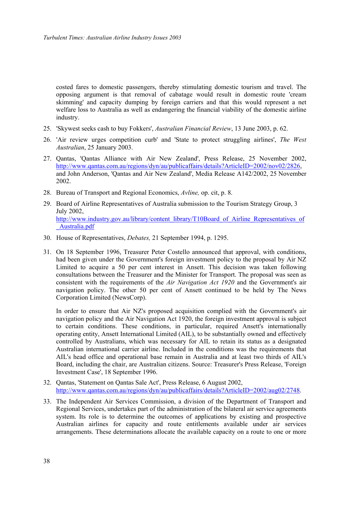costed fares to domestic passengers, thereby stimulating domestic tourism and travel. The opposing argument is that removal of cabatage would result in domestic route 'cream skimming' and capacity dumping by foreign carriers and that this would represent a net welfare loss to Australia as well as endangering the financial viability of the domestic airline industry.

- 25. 'Skywest seeks cash to buy Fokkers', *Australian Financial Review*, 13 June 2003, p. 62.
- 26. 'Air review urges competition curb' and 'State to protect struggling airlines', *The West Australian*, 25 January 2003.
- 27. Qantas, 'Qantas Alliance with Air New Zealand', Press Release, 25 November 2002, [http://www.qantas.com.au/regions/dyn/au/publicaffairs/details?ArticleID=2002/nov02/2826,](http://www.qantas.com.au/regions/dyn/au/publicaffairs/details?ArticleID=2002/nov02/2826) and John Anderson, 'Qantas and Air New Zealand', Media Release A142/2002, 25 November 2002.
- 28. Bureau of Transport and Regional Economics, *Avline,* op. cit, p. 8.
- 29. Board of Airline Representatives of Australia submission to the Tourism Strategy Group, 3 July 2002, [http://www.industry.gov.au/library/content\\_library/T10Board\\_of\\_Airline\\_Representatives\\_of](http://www.industry.gov.au/library/content_library/T10Board_of_Airline_Representatives_of_Australia.pdf) [\\_Australia.pdf](http://www.industry.gov.au/library/content_library/T10Board_of_Airline_Representatives_of_Australia.pdf)
- 30. House of Representatives, *Debates,* 21 September 1994, p. 1295.
- 31. On 18 September 1996, Treasurer Peter Costello announced that approval, with conditions, had been given under the Government's foreign investment policy to the proposal by Air NZ Limited to acquire a 50 per cent interest in Ansett. This decision was taken following consultations between the Treasurer and the Minister for Transport. The proposal was seen as consistent with the requirements of the *Air Navigation Act 1920* and the Government's air navigation policy. The other 50 per cent of Ansett continued to be held by The News Corporation Limited (NewsCorp).

In order to ensure that Air NZ's proposed acquisition complied with the Government's air navigation policy and the Air Navigation Act 1920, the foreign investment approval is subject to certain conditions. These conditions, in particular, required Ansett's internationally operating entity, Ansett International Limited (AIL), to be substantially owned and effectively controlled by Australians, which was necessary for AIL to retain its status as a designated Australian international carrier airline. Included in the conditions was the requirements that AIL's head office and operational base remain in Australia and at least two thirds of AIL's Board, including the chair, are Australian citizens. Source: Treasurer's Press Release, 'Foreign Investment Case', 18 September 1996.

- 32. Qantas, 'Statement on Qantas Sale Act', Press Release, 6 August 2002, <http://www.qantas.com.au/regions/dyn/au/publicaffairs/details?ArticleID=2002/aug02/2748>.
- 33. The Independent Air Services Commission, a division of the Department of Transport and Regional Services, undertakes part of the administration of the bilateral air service agreements system. Its role is to determine the outcomes of applications by existing and prospective Australian airlines for capacity and route entitlements available under air services arrangements. These determinations allocate the available capacity on a route to one or more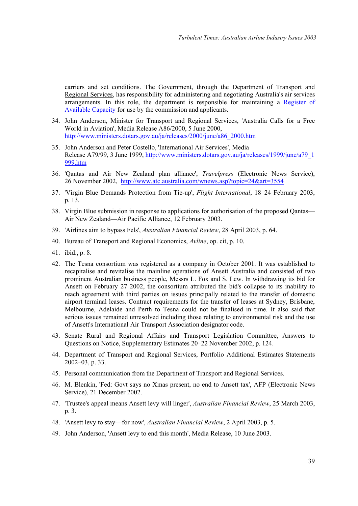carriers and set conditions. The Government, through the [Department of Transport and](http://www.dotars.gov.au/) [Regional Services](http://www.dotars.gov.au/), has responsibility for administering and negotiating Australia's air services arrangements. In this role, the department is responsible for maintaining a [Register of](http://www.dotars.gov.au/avnapt/downloads/register.pdf) [Available Capacity](http://www.dotars.gov.au/avnapt/downloads/register.pdf) for use by the commission and applicants.

- 34. John Anderson, Minister for Transport and Regional Services, 'Australia Calls for a Free World in Aviation', Media Release A86/2000, 5 June 2000, [http://www.ministers.dotars.gov.au/ja/releases/2000/june/a86\\_2000.htm](http://www.ministers.dotars.gov.au/ja/releases/2000/june/a86_2000.htm)
- 35. John Anderson and Peter Costello, 'International Air Services', Media Release A79/99, 3 June 1999, [http://www.ministers.dotars.gov.au/ja/releases/1999/june/a79\\_1](http://www.ministers.dotars.gov.au/ja/releases/1999/june/a79_1999.htm) [999.htm](http://www.ministers.dotars.gov.au/ja/releases/1999/june/a79_1999.htm)
- 36. 'Qantas and Air New Zealand plan alliance', *Travelpress* (Electronic News Service), 26 November 2002, <http://www.atc.australia.com/wnews.asp?topic=24&art=3554>
- 37. 'Virgin Blue Demands Protection from Tie-up', *Flight International*, 18–24 February 2003, p. 13.
- 38. Virgin Blue submission in response to applications for authorisation of the proposed Qantas— Air New Zealand—Air Pacific Alliance, 12 February 2003.
- 39. 'Airlines aim to bypass Fels', *Australian Financial Review*, 28 April 2003, p. 64.
- 40. Bureau of Transport and Regional Economics, *Avline*, op. cit, p. 10.
- 41. ibid., p. 8.
- 42. The Tesna consortium was registered as a company in October 2001. It was established to recapitalise and revitalise the mainline operations of Ansett Australia and consisted of two prominent Australian business people, Messrs L. Fox and S. Lew. In withdrawing its bid for Ansett on February 27 2002, the consortium attributed the bid's collapse to its inability to reach agreement with third parties on issues principally related to the transfer of domestic airport terminal leases. Contract requirements for the transfer of leases at Sydney, Brisbane, Melbourne, Adelaide and Perth to Tesna could not be finalised in time. It also said that serious issues remained unresolved including those relating to environmental risk and the use of Ansett's International Air Transport Association designator code.
- 43. Senate Rural and Regional Affairs and Transport Legislation Committee, Answers to Questions on Notice, Supplementary Estimates 20–22 November 2002, p. 124.
- 44. Department of Transport and Regional Services, Portfolio Additional Estimates Statements 2002–03, p. 33.
- 45. Personal communication from the Department of Transport and Regional Services.
- 46. M. Blenkin, 'Fed: Govt says no Xmas present, no end to Ansett tax', AFP (Electronic News Service), 21 December 2002.
- 47. 'Trustee's appeal means Ansett levy will linger', *Australian Financial Review*, 25 March 2003, p. 3.
- 48. 'Ansett levy to stay—for now', *Australian Financial Review*, 2 April 2003, p. 5.
- 49. John Anderson, 'Ansett levy to end this month', Media Release, 10 June 2003.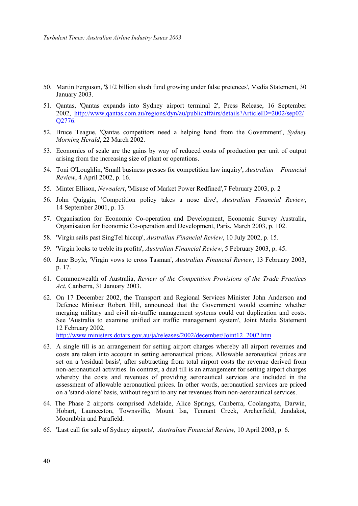- 50. Martin Ferguson, '\$1/2 billion slush fund growing under false pretences', Media Statement, 30 January 2003.
- 51. Qantas, 'Qantas expands into Sydney airport terminal 2', Press Release, 16 September 2002, [http://www.qantas.com.au/regions/dyn/au/publicaffairs/details?ArticleID=2002/sep02/](http://www.qantas.com.au/regions/dyn/au/publicaffairs/details?ArticleID=2002/sep02/Q2776) [Q2776](http://www.qantas.com.au/regions/dyn/au/publicaffairs/details?ArticleID=2002/sep02/Q2776).
- 52. Bruce Teague, 'Qantas competitors need a helping hand from the Government', *Sydney Morning Herald*, 22 March 2002.
- 53. Economies of scale are the gains by way of reduced costs of production per unit of output arising from the increasing size of plant or operations.
- 54. Toni O'Loughlin, 'Small business presses for competition law inquiry', *Australian Financial Review*, 4 April 2002, p. 16.
- 55. Minter Ellison, *Newsalert*, 'Misuse of Market Power Redfined',7 February 2003, p. 2
- 56. John Quiggin, 'Competition policy takes a nose dive', *Australian Financial Review*, 14 September 2001, p. 13.
- 57. Organisation for Economic Co-operation and Development, Economic Survey Australia, Organisation for Economic Co-operation and Development, Paris, March 2003, p. 102.
- 58. 'Virgin sails past SingTel hiccup', *Australian Financial Review*, 10 July 2002, p. 15.
- 59. 'Virgin looks to treble its profits', *Australian Financial Review*, 5 February 2003, p. 45.
- 60. Jane Boyle, 'Virgin vows to cross Tasman', *Australian Financial Review*, 13 February 2003, p. 17.
- 61. Commonwealth of Australia, *Review of the Competition Provisions of the Trade Practices Act*, Canberra, 31 January 2003.
- 62. On 17 December 2002, the Transport and Regional Services Minister John Anderson and Defence Minister Robert Hill, announced that the Government would examine whether merging military and civil air-traffic management systems could cut duplication and costs. See 'Australia to examine unified air traffic management system', Joint Media Statement 12 February 2002,

[http://www.ministers.dotars.gov.au/ja/releases/2002/december/Joint12\\_2002.htm](http://www.ministers.dotars.gov.au/ja/releases/2002/december/Joint12_2002.htm)

- 63. A single till is an arrangement for setting airport charges whereby all airport revenues and costs are taken into account in setting aeronautical prices. Allowable aeronautical prices are set on a 'residual basis', after subtracting from total airport costs the revenue derived from non-aeronautical activities. In contrast, a dual till is an arrangement for setting airport charges whereby the costs and revenues of providing aeronautical services are included in the assessment of allowable aeronautical prices. In other words, aeronautical services are priced on a 'stand-alone' basis, without regard to any net revenues from non-aeronautical services.
- 64. The Phase 2 airports comprised Adelaide, Alice Springs, Canberra, Coolangatta, Darwin, Hobart, Launceston, Townsville, Mount Isa, Tennant Creek, Archerfield, Jandakot, Moorabbin and Parafield.
- 65. 'Last call for sale of Sydney airports'*, Australian Financial Review,* 10 April 2003, p. 6.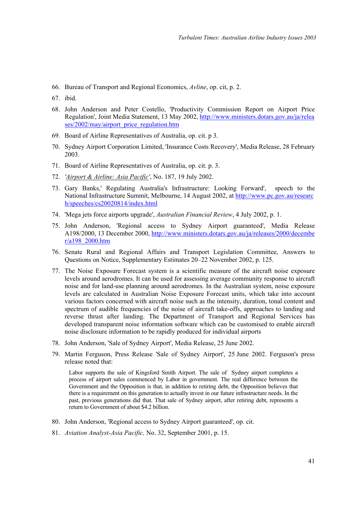- 66. Bureau of Transport and Regional Economics, *Avline*, op. cit, p. 2.
- 67. ibid.
- 68. John Anderson and Peter Costello, 'Productivity Commission Report on Airport Price Regulation', Joint Media Statement, 13 May 2002, [http://www.ministers.dotars.gov.au/ja/relea](http://www.ministers.dotars.gov.au/ja/releases/2002/may/airport_price_regulation.htm) [ses/2002/may/airport\\_price\\_regulation.htm](http://www.ministers.dotars.gov.au/ja/releases/2002/may/airport_price_regulation.htm)
- 69. Board of Airline Representatives of Australia, op. cit. p 3.
- 70. Sydney Airport Corporation Limited, 'Insurance Costs Recovery', Media Release, 28 February 2003.
- 71. Board of Airline Representatives of Australia, op. cit. p. 3.
- 72. *'Airport & Airline: Asia Pacific'*, No. 187, 19 July 2002.
- 73. Gary Banks,' Regulating Australia's Infrastructure: Looking Forward', speech to the National Infrastructure Summit, Melbourne, 14 August 2002, at [http://www.pc.gov.au/researc](http://www.pc.gov.au/research/speeches/cs20020814/index.html) [h/speeches/cs20020814/index.html](http://www.pc.gov.au/research/speeches/cs20020814/index.html)
- 74. 'Mega jets force airports upgrade', *Australian Financial Review*, 4 July 2002, p. 1.
- 75. John Anderson, 'Regional access to Sydney Airport guaranteed', Media Release A198/2000, 13 December 2000, [http://www.ministers.dotars.gov.au/ja/releases/2000/decembe](http://www.ministers.dotars.gov.au/ja/releases/2000/december/a198_2000.htm) [r/a198\\_2000.htm](http://www.ministers.dotars.gov.au/ja/releases/2000/december/a198_2000.htm)
- 76. Senate Rural and Regional Affairs and Transport Legislation Committee, Answers to Questions on Notice, Supplementary Estimates 20–22 November 2002, p. 125.
- 77. The Noise Exposure Forecast system is a scientific measure of the aircraft noise exposure levels around aerodromes. It can be used for assessing average community response to aircraft noise and for land-use planning around aerodromes. In the Australian system, noise exposure levels are calculated in Australian Noise Exposure Forecast units, which take into account various factors concerned with aircraft noise such as the intensity, duration, tonal content and spectrum of audible frequencies of the noise of aircraft take-offs, approaches to landing and reverse thrust after landing. The Department of Transport and Regional Services has developed transparent noise information software which can be customised to enable aircraft noise disclosure information to be rapidly produced for individual airports
- 78. John Anderson, 'Sale of Sydney Airport', Media Release, 25 June 2002.
- 79. Martin Ferguson, Press Release 'Sale of Sydney Airport', 25 June 2002. Ferguson's press release noted that:

Labor supports the sale of Kingsford Smith Airport. The sale of Sydney airport completes a process of airport sales commenced by Labor in government. The real difference between the Government and the Opposition is that, in addition to retiring debt, the Opposition believes that there is a requirement on this generation to actually invest in our future infrastructure needs. In the past, previous generations did that. That sale of Sydney airport, after retiring debt, represents a return to Government of about \$4.2 billion.

- 80. John Anderson, 'Regional access to Sydney Airport guaranteed', op. cit.
- 81. *Aviation Analyst-Asia Pacific,* No. 32, September 2001, p. 15.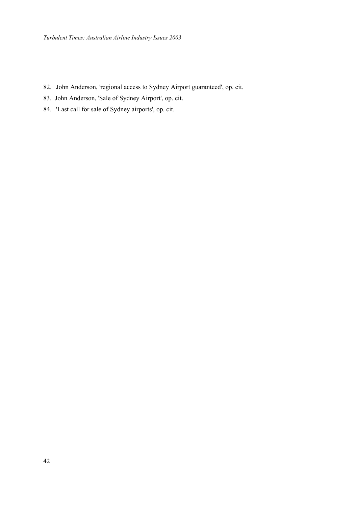- 82. John Anderson, 'regional access to Sydney Airport guaranteed', op. cit.
- 83. John Anderson, 'Sale of Sydney Airport', op. cit.
- 84. 'Last call for sale of Sydney airports', op. cit.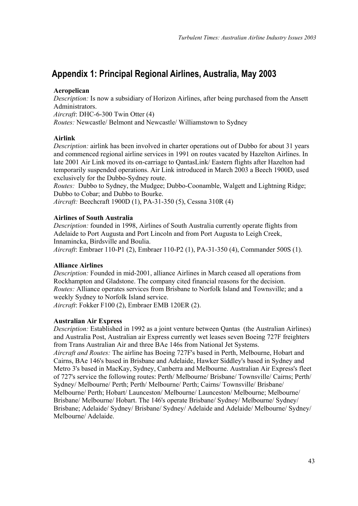# <span id="page-46-0"></span>**Appendix 1: Principal Regional Airlines, Australia, May 2003**

### **Aeropelican**

*Description:* Is now a subsidiary of Horizon Airlines, after being purchased from the Ansett Administrators. *Aircraft*: DHC-6-300 Twin Otter (4)

*Routes:* Newcastle/ Belmont and Newcastle/ Williamstown to Sydney

### **Airlink**

*Description:* airlink has been involved in charter operations out of Dubbo for about 31 years and commenced regional airline services in 1991 on routes vacated by Hazelton Airlines. In late 2001 Air Link moved its on-carriage to QantasLink/ Eastern flights after Hazelton had temporarily suspended operations. Air Link introduced in March 2003 a Beech 1900D, used exclusively for the Dubbo-Sydney route.

*Routes:* Dubbo to Sydney, the Mudgee; Dubbo-Coonamble, Walgett and Lightning Ridge; Dubbo to Cobar; and Dubbo to Bourke.

*Aircraft:* Beechcraft 1900D (1), PA-31-350 (5), Cessna 310R (4)

#### **Airlines of South Australia**

*Description:* founded in 1998, Airlines of South Australia currently operate flights from Adelaide to Port Augusta and Port Lincoln and from Port Augusta to Leigh Creek, Innamincka, Birdsville and Boulia.

*Aircraft*: Embraer 110-P1 (2), Embraer 110-P2 (1), PA-31-350 (4), Commander 500S (1).

#### **Alliance Airlines**

*Description:* Founded in mid-2001, alliance Airlines in March ceased all operations from Rockhampton and Gladstone. The company cited financial reasons for the decision. *Routes:* Alliance operates services from Brisbane to Norfolk Island and Townsville; and a weekly Sydney to Norfolk Island service.

*Aircraft*: Fokker F100 (2), Embraer EMB 120ER (2).

#### **Australian Air Express**

*Description:* Established in 1992 as a joint venture between Qantas (the Australian Airlines) and Australia Post, Australian air Express currently wet leases seven Boeing 727F freighters from Trans Australian Air and three BAe 146s from National Jet Systems.

*Aircraft and Routes:* The airline has Boeing 727F's based in Perth, Melbourne, Hobart and Cairns, BAe 146's based in Brisbane and Adelaide, Hawker Siddley's based in Sydney and Metro 3's based in MacKay, Sydney, Canberra and Melbourne. Australian Air Express's fleet of 727's service the following routes: Perth/ Melbourne/ Brisbane/ Townsville/ Cairns; Perth/ Sydney/ Melbourne/ Perth; Perth/ Melbourne/ Perth; Cairns/ Townsville/ Brisbane/ Melbourne/ Perth; Hobart/ Launceston/ Melbourne/ Launceston/ Melbourne; Melbourne/ Brisbane/ Melbourne/ Hobart. The 146's operate Brisbane/ Sydney/ Melbourne/ Sydney/ Brisbane; Adelaide/ Sydney/ Brisbane/ Sydney/ Adelaide and Adelaide/ Melbourne/ Sydney/ Melbourne/ Adelaide.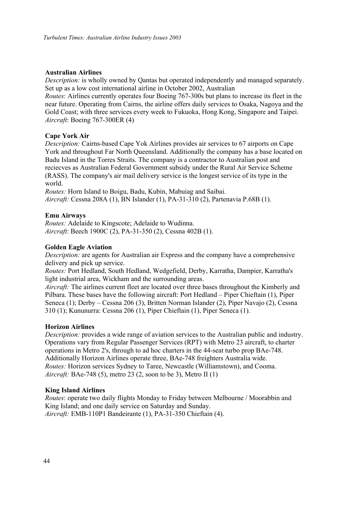#### **Australian Airlines**

*Description:* is wholly owned by Qantas but operated independently and managed separately. Set up as a low cost international airline in October 2002, Australian

*Routes*: Airlines currently operates four Boeing 767-300s but plans to increase its fleet in the near future. Operating from Cairns, the airline offers daily services to Osaka, Nagoya and the Gold Coast; with three services every week to Fukuoka, Hong Kong, Singapore and Taipei. *Aircraft*: Boeing 767-300ER (4)

#### **Cape York Air**

*Description:* Cairns-based Cape Yok Airlines provides air services to 67 airports on Cape York and throughout Far North Queensland. Additionally the company has a base located on Badu Island in the Torres Straits. The company is a contractor to Australian post and reciecves as Australian Federal Government subsidy under the Rural Air Service Scheme (RASS). The company's air mail delivery service is the longest service of its type in the world.

*Routes:* Horn Island to Boigu, Badu, Kubin, Mabuiag and Saibai. *Aircraft:* Cessna 208A (1), BN Islander (1), PA-31-310 (2), Partenavia P.68B (1).

#### **Emu Airways**

*Routes:* Adelaide to Kingscote; Adelaide to Wudinna. *Aircraft*: Beech 1900C (2), PA-31-350 (2), Cessna 402B (1).

#### **Golden Eagle Aviation**

*Description:* are agents for Australian air Express and the company have a comprehensive delivery and pick up service.

*Routes:* Port Hedland, South Hedland, Wedgefield, Derby, Karratha, Dampier, Karratha's light industrial area, Wickham and the surrounding areas.

*Aircraft:* The airlines current fleet are located over three bases throughout the Kimberly and Pilbara. These bases have the following aircraft: Port Hedland – Piper Chieftain (1), Piper Seneca (1); Derby – Cessna 206 (3), Britten Norman Islander (2), Piper Navajo (2), Cessna 310 (1); Kununurra: Cessna 206 (1), Piper Chieftain (1), Piper Seneca (1).

#### **Horizon Airlines**

*Description:* provides a wide range of aviation services to the Australian public and industry. Operations vary from Regular Passenger Services (RPT) with Metro 23 aircraft, to charter operations in Metro 2's, through to ad hoc charters in the 44-seat turbo prop BAe-748. Additionally Horizon Airlines operate three, BAe-748 freighters Australia wide. *Routes:* Horizon services Sydney to Taree, Newcastle (Williamstown), and Cooma. *Aircraft:* BAe-748 (5), metro 23 (2, soon to be 3), Metro II (1)

#### **King Island Airlines**

*Routes*: operate two daily flights Monday to Friday between Melbourne / Moorabbin and King Island; and one daily service on Saturday and Sunday. *Aircraft:* EMB-110P1 Bandeirante (1), PA-31-350 Chieftain (4).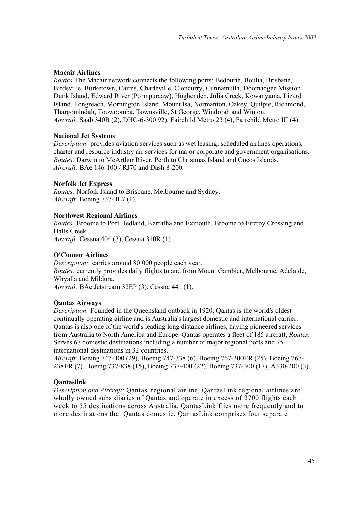### **Macair Airlines**

*Routes:*The Macair network connects the following ports: Bedourie, Boulia, Brisbane, Birdsville, Burketown, Cairns, Charleville, Cloncurry, Cunnamulla, Doomadgee Mission, Dunk Island, Edward River (Pormpuraaw), Hughenden, Julia Creek, Kowanyama, Lizard Island, Longreach, Mornington Island, Mount Isa, Normanton, Oakey, Quilpie, Richmond, Thargomindah, Toowoomba, Townsville, St George, Windorah and Winton. *Aircraft:* Saab 340B (2), DHC-6-300 92), Fairchild Metro 23 (4), Fairchild Metro III (4).

### **National Jet Systems**

*Description:* provides aviation services such as wet leasing, scheduled airlines operations, charter and resource industry air services for major corporate and government organisations. *Routes:* Darwin to McArthur River, Perth to Christmas Island and Cocos Islands. *Aircraft:* BAe 146-100 / RJ70 and Dash 8-200.

### **Norfolk Jet Express**

*Routes:* Norfolk Island to Brisbane, Melbourne and Sydney. *Aircraft:* Boeing 737-4L7 (1).

### **Northwest Regional Airlines**

*Routes:* Broome to Port Hedland, Karratha and Exmouth, Broome to Fitzroy Crossing and Halls Creek.

*Aircraft:* Cessna 404 (3), Cessna 310R (1)

### **O'Connor Airlines**

*Description:* carries around 80 000 people each year. *Routes:* currently provides daily flights to and from Mount Gambier, Melbourne, Adelaide, Whyalla and Mildura.

*Aircraft:* BAe Jetstream 32EP (3), Cessna 441 (1).

### **Qantas Airways**

*Description:* Founded in the Queensland outback in 1920, Qantas is the world's oldest continually operating airline and is Australia's largest domestic and international carrier. Qantas is also one of the world's leading long distance airlines, having pioneered services from Australia to North America and Europe. Qantas operates a fleet of 185 aircraft, *Routes:* Serves 67 domestic destinations including a number of major regional ports and 75 international destinations in 32 countries.

*Aircraft:* Boeing 747-400 (29), Boeing 747-338 (6), Boeing 767-300ER (25), Boeing 767- 238ER (7), Boeing 737-838 (15), Boeing 737-400 (22), Boeing 737-300 (17), A330-200 (3).

### **Qantaslink**

*Description and Aircraft:* Qantas' regional airline, QantasLink regional airlines are wholly owned subsidiaries of Qantas and operate in excess of 2700 flights each week to 55 destinations across Australia. QantasLink flies more frequently and to more destinations that Qantas domestic. QantasLink comprises four separate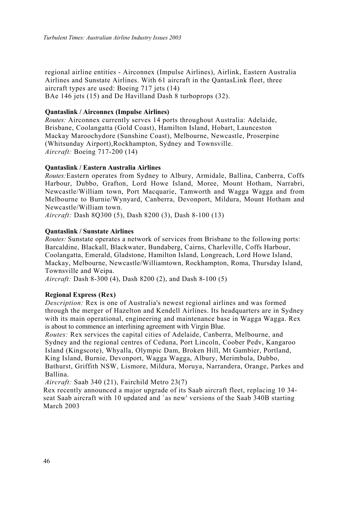regional airline entities - Airconnex (Impulse Airlines), Airlink, Eastern Australia Airlines and Sunstate Airlines. With 61 aircraft in the QantasLink fleet, three aircraft types are used: Boeing 717 jets (14) BAe 146 jets (15) and De Havilland Dash 8 turboprops (32).

#### **Qantaslink / Airconnex (Impulse Airlines)**

*Routes:* Airconnex currently serves 14 ports throughout Australia: Adelaide, Brisbane, Coolangatta (Gold Coast), Hamilton Island, Hobart, Launceston Mackay Maroochydore (Sunshine Coast), Melbourne, Newcastle, Proserpine (Whitsunday Airport),Rockhampton, Sydney and Townsville. *Aircraft:* Boeing 717-200 (14)

#### **Qantaslink / Eastern Australia Airlines**

*Routes:*Eastern operates from Sydney to Albury, Armidale, Ballina, Canberra, Coffs Harbour, Dubbo, Grafton, Lord Howe Island, Moree, Mount Hotham, Narrabri, Newcastle/William town, Port Macquarie, Tamworth and Wagga Wagga and from Melbourne to Burnie/Wynyard, Canberra, Devonport, Mildura, Mount Hotham and Newcastle/William town.

*Aircraft:* Dash 8Q300 (5), Dash 8200 (3), Dash 8-100 (13)

#### **Qantaslink / Sunstate Airlines**

*Routes:* Sunstate operates a network of services from Brisbane to the following ports: Barcaldine, Blackall, Blackwater, Bundaberg, Cairns, Charleville, Coffs Harbour, Coolangatta, Emerald, Gladstone, Hamilton Island, Longreach, Lord Howe Island, Mackay, Melbourne, Newcastle/Williamtown, Rockhampton, Roma, Thursday Island, Townsville and Weipa.

*Aircraft:* Dash 8-300 (4), Dash 8200 (2), and Dash 8-100 (5)

#### **Regional Express (Rex)**

*Description:* Rex is one of Australia's newest regional airlines and was formed through the merger of Hazelton and Kendell Airlines. Its headquarters are in Sydney with its main operational, engineering and maintenance base in Wagga Wagga. Rex is about to commence an interlining agreement with Virgin Blue.

*Routes:* Rex services the capital cities of Adelaide, Canberra, Melbourne, and Sydney and the regional centres of Ceduna, Port Lincoln, Coober Pedv, Kangaroo Island (Kingscote), Whyalla, Olympic Dam, Broken Hill, Mt Gambier, Portland, King Island, Burnie, Devonport, Wagga Wagga, Albury, Merimbula, Dubbo, Bathurst, Griffith NSW, Lismore, Mildura, Moruya, Narrandera, Orange, Parkes and Ballina.

*Aircraft:* Saab 340 (21), Fairchild Metro 23(7)

Rex recently announced a major upgrade of its Saab aircraft fleet, replacing 10 34 seat Saab aircraft with 10 updated and `as new' versions of the Saab 340B starting March 2003